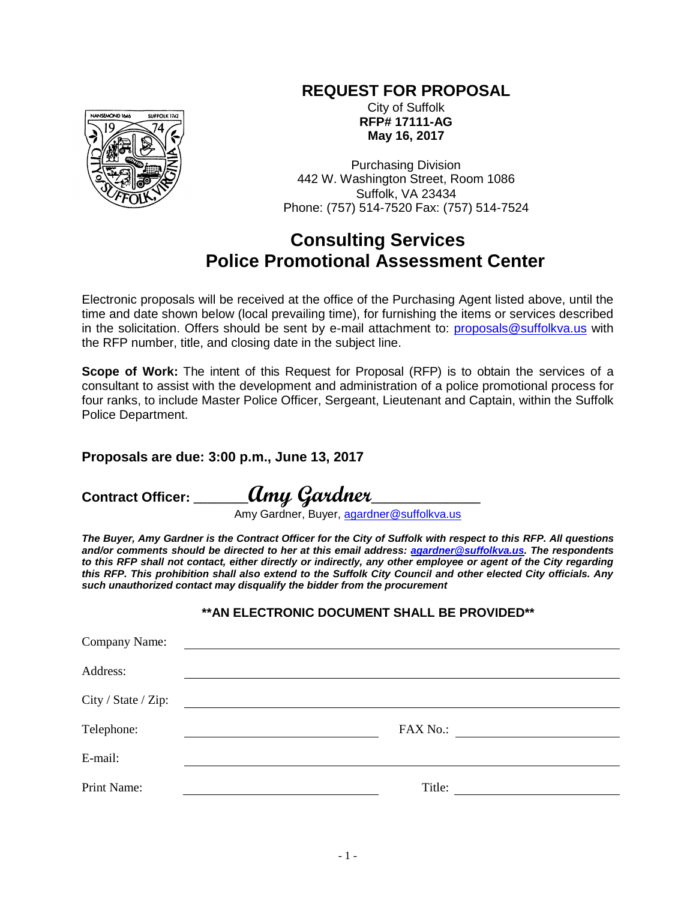# **REQUEST FOR PROPOSAL**



City of Suffolk **RFP# 17111-AG May 16, 2017**

Purchasing Division 442 W. Washington Street, Room 1086 Suffolk, VA 23434 Phone: (757) 514-7520 Fax: (757) 514-7524

# **Consulting Services Police Promotional Assessment Center**

Electronic proposals will be received at the office of the Purchasing Agent listed above, until the time and date shown below (local prevailing time), for furnishing the items or services described in the solicitation. Offers should be sent by e-mail attachment to: [proposals@suffolkva.us](mailto:proposals@suffolkva.us) with the RFP number, title, and closing date in the subject line.

**Scope of Work:** The intent of this Request for Proposal (RFP) is to obtain the services of a consultant to assist with the development and administration of a police promotional process for four ranks, to include Master Police Officer, Sergeant, Lieutenant and Captain, within the Suffolk Police Department.

# **Proposals are due: 3:00 p.m., June 13, 2017**

**Contract Officer: \_\_\_\_\_\_\_\_Amy Gardner\_\_\_\_\_\_\_\_\_\_\_\_\_\_\_\_**

Amy Gardner, Buyer, [agardner@suffolkva.us](mailto:agardner@suffolkva.us)

*The Buyer, Amy Gardner is the Contract Officer for the City of Suffolk with respect to this RFP. All questions and/or comments should be directed to her at this email address: [agardner@suffolkva.us.](mailto:agardner@suffolkva.us) The respondents to this RFP shall not contact, either directly or indirectly, any other employee or agent of the City regarding this RFP. This prohibition shall also extend to the Suffolk City Council and other elected City officials. Any such unauthorized contact may disqualify the bidder from the procurement*

# **\*\*AN ELECTRONIC DOCUMENT SHALL BE PROVIDED\*\***

| Company Name:       |          |
|---------------------|----------|
| Address:            |          |
| City / State / Zip: |          |
| Telephone:          | FAX No.: |
| E-mail:             |          |
| Print Name:         | Title:   |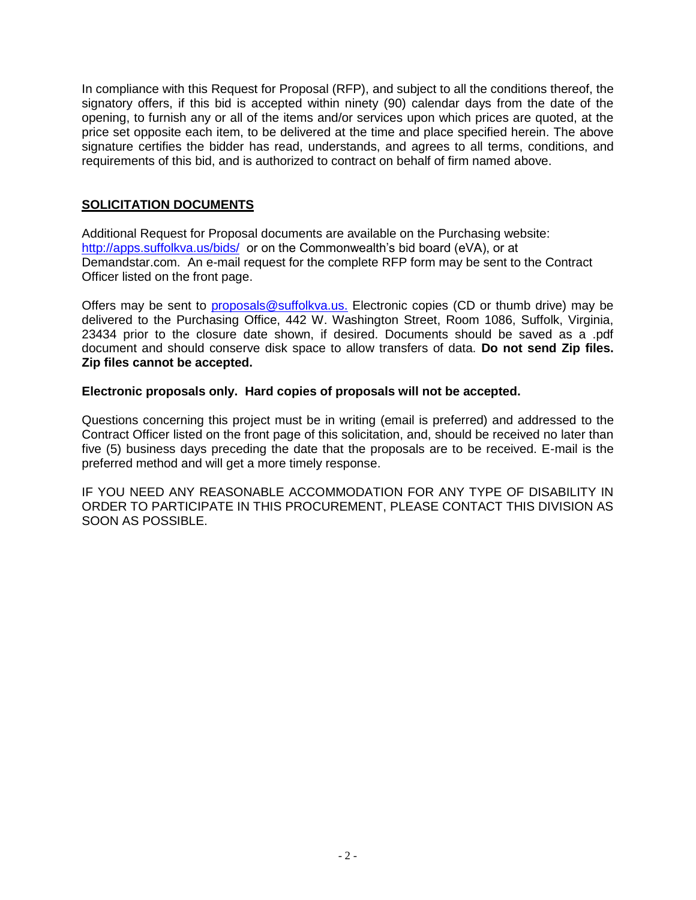In compliance with this Request for Proposal (RFP), and subject to all the conditions thereof, the signatory offers, if this bid is accepted within ninety (90) calendar days from the date of the opening, to furnish any or all of the items and/or services upon which prices are quoted, at the price set opposite each item, to be delivered at the time and place specified herein. The above signature certifies the bidder has read, understands, and agrees to all terms, conditions, and requirements of this bid, and is authorized to contract on behalf of firm named above.

# **SOLICITATION DOCUMENTS**

Additional Request for Proposal documents are available on the Purchasing website: <http://apps.suffolkva.us/bids/> or on the Commonwealth's bid board (eVA), or at Demandstar.com. An e-mail request for the complete RFP form may be sent to the Contract Officer listed on the front page.

Offers may be sent to [proposals@suffolkva.us.](mailto:proposals@suffolkva.us) Electronic copies (CD or thumb drive) may be delivered to the Purchasing Office, 442 W. Washington Street, Room 1086, Suffolk, Virginia, 23434 prior to the closure date shown, if desired. Documents should be saved as a .pdf document and should conserve disk space to allow transfers of data. **Do not send Zip files. Zip files cannot be accepted.**

# **Electronic proposals only. Hard copies of proposals will not be accepted.**

Questions concerning this project must be in writing (email is preferred) and addressed to the Contract Officer listed on the front page of this solicitation, and, should be received no later than five (5) business days preceding the date that the proposals are to be received. E-mail is the preferred method and will get a more timely response.

IF YOU NEED ANY REASONABLE ACCOMMODATION FOR ANY TYPE OF DISABILITY IN ORDER TO PARTICIPATE IN THIS PROCUREMENT, PLEASE CONTACT THIS DIVISION AS SOON AS POSSIBLE.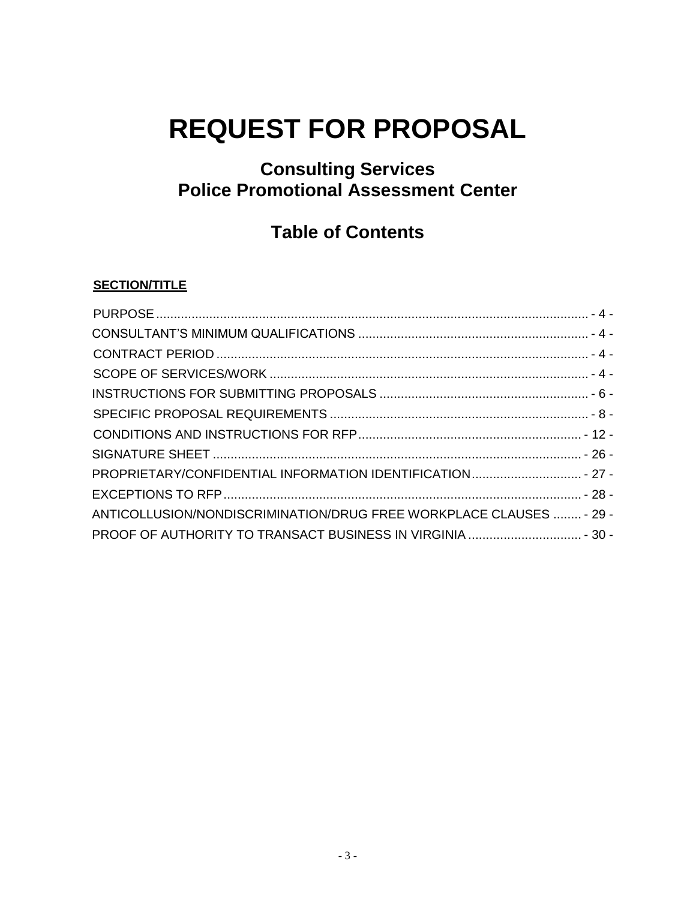# **REQUEST FOR PROPOSAL**

# **Consulting Services Police Promotional Assessment Center**

# **Table of Contents**

# **SECTION/TITLE**

| PROPRIETARY/CONFIDENTIAL INFORMATION IDENTIFICATION - 27 -          |  |
|---------------------------------------------------------------------|--|
|                                                                     |  |
| ANTICOLLUSION/NONDISCRIMINATION/DRUG FREE WORKPLACE CLAUSES  - 29 - |  |
|                                                                     |  |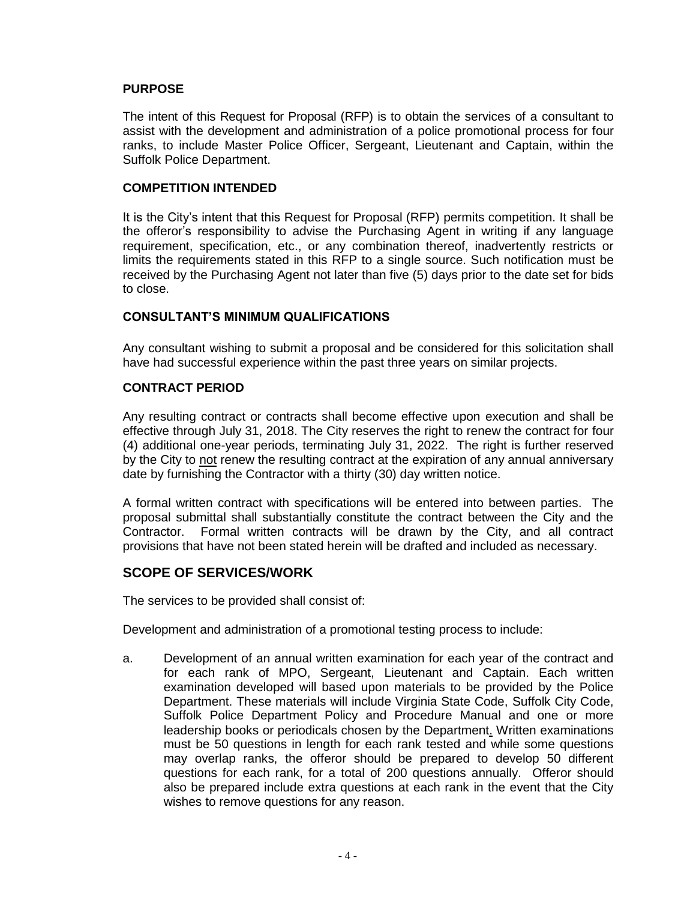# <span id="page-3-0"></span>**PURPOSE**

The intent of this Request for Proposal (RFP) is to obtain the services of a consultant to assist with the development and administration of a police promotional process for four ranks, to include Master Police Officer, Sergeant, Lieutenant and Captain, within the Suffolk Police Department.

#### **COMPETITION INTENDED**

It is the City's intent that this Request for Proposal (RFP) permits competition. It shall be the offeror's responsibility to advise the Purchasing Agent in writing if any language requirement, specification, etc., or any combination thereof, inadvertently restricts or limits the requirements stated in this RFP to a single source. Such notification must be received by the Purchasing Agent not later than five (5) days prior to the date set for bids to close.

#### <span id="page-3-1"></span>**CONSULTANT'S MINIMUM QUALIFICATIONS**

Any consultant wishing to submit a proposal and be considered for this solicitation shall have had successful experience within the past three years on similar projects.

#### <span id="page-3-2"></span>**CONTRACT PERIOD**

Any resulting contract or contracts shall become effective upon execution and shall be effective through July 31, 2018. The City reserves the right to renew the contract for four (4) additional one-year periods, terminating July 31, 2022. The right is further reserved by the City to not renew the resulting contract at the expiration of any annual anniversary date by furnishing the Contractor with a thirty (30) day written notice.

A formal written contract with specifications will be entered into between parties. The proposal submittal shall substantially constitute the contract between the City and the Contractor. Formal written contracts will be drawn by the City, and all contract provisions that have not been stated herein will be drafted and included as necessary.

# <span id="page-3-3"></span>**SCOPE OF SERVICES/WORK**

The services to be provided shall consist of:

Development and administration of a promotional testing process to include:

a. Development of an annual written examination for each year of the contract and for each rank of MPO, Sergeant, Lieutenant and Captain. Each written examination developed will based upon materials to be provided by the Police Department. These materials will include Virginia State Code, Suffolk City Code, Suffolk Police Department Policy and Procedure Manual and one or more leadership books or periodicals chosen by the Department. Written examinations must be 50 questions in length for each rank tested and while some questions may overlap ranks, the offeror should be prepared to develop 50 different questions for each rank, for a total of 200 questions annually. Offeror should also be prepared include extra questions at each rank in the event that the City wishes to remove questions for any reason.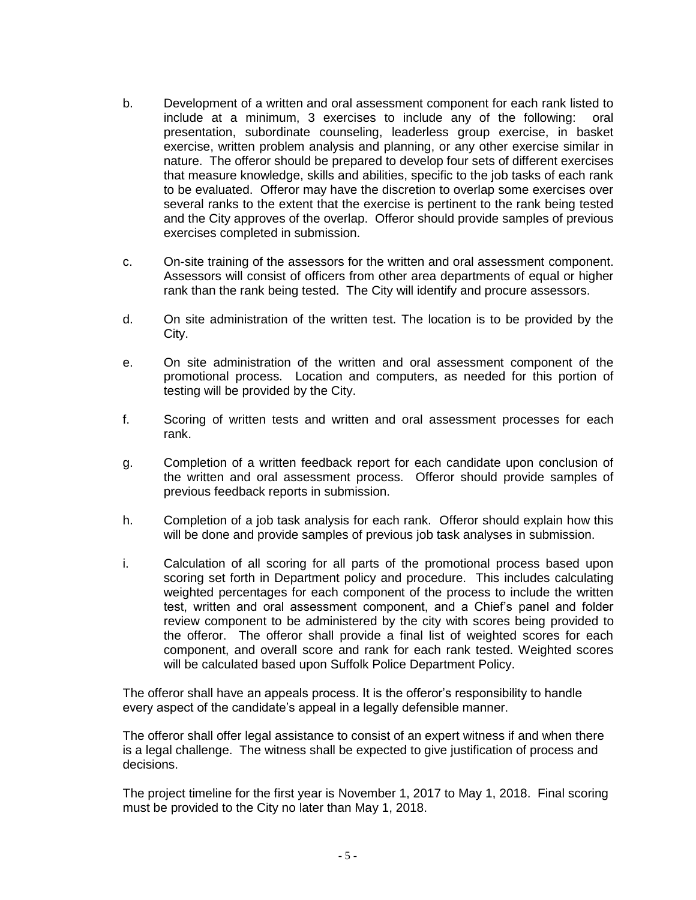- b. Development of a written and oral assessment component for each rank listed to include at a minimum, 3 exercises to include any of the following: oral presentation, subordinate counseling, leaderless group exercise, in basket exercise, written problem analysis and planning, or any other exercise similar in nature. The offeror should be prepared to develop four sets of different exercises that measure knowledge, skills and abilities, specific to the job tasks of each rank to be evaluated. Offeror may have the discretion to overlap some exercises over several ranks to the extent that the exercise is pertinent to the rank being tested and the City approves of the overlap. Offeror should provide samples of previous exercises completed in submission.
- c. On-site training of the assessors for the written and oral assessment component. Assessors will consist of officers from other area departments of equal or higher rank than the rank being tested. The City will identify and procure assessors.
- d. On site administration of the written test. The location is to be provided by the City.
- e. On site administration of the written and oral assessment component of the promotional process. Location and computers, as needed for this portion of testing will be provided by the City.
- f. Scoring of written tests and written and oral assessment processes for each rank.
- g. Completion of a written feedback report for each candidate upon conclusion of the written and oral assessment process. Offeror should provide samples of previous feedback reports in submission.
- h. Completion of a job task analysis for each rank. Offeror should explain how this will be done and provide samples of previous job task analyses in submission.
- i. Calculation of all scoring for all parts of the promotional process based upon scoring set forth in Department policy and procedure. This includes calculating weighted percentages for each component of the process to include the written test, written and oral assessment component, and a Chief's panel and folder review component to be administered by the city with scores being provided to the offeror. The offeror shall provide a final list of weighted scores for each component, and overall score and rank for each rank tested. Weighted scores will be calculated based upon Suffolk Police Department Policy.

The offeror shall have an appeals process. It is the offeror's responsibility to handle every aspect of the candidate's appeal in a legally defensible manner.

The offeror shall offer legal assistance to consist of an expert witness if and when there is a legal challenge. The witness shall be expected to give justification of process and decisions.

The project timeline for the first year is November 1, 2017 to May 1, 2018. Final scoring must be provided to the City no later than May 1, 2018.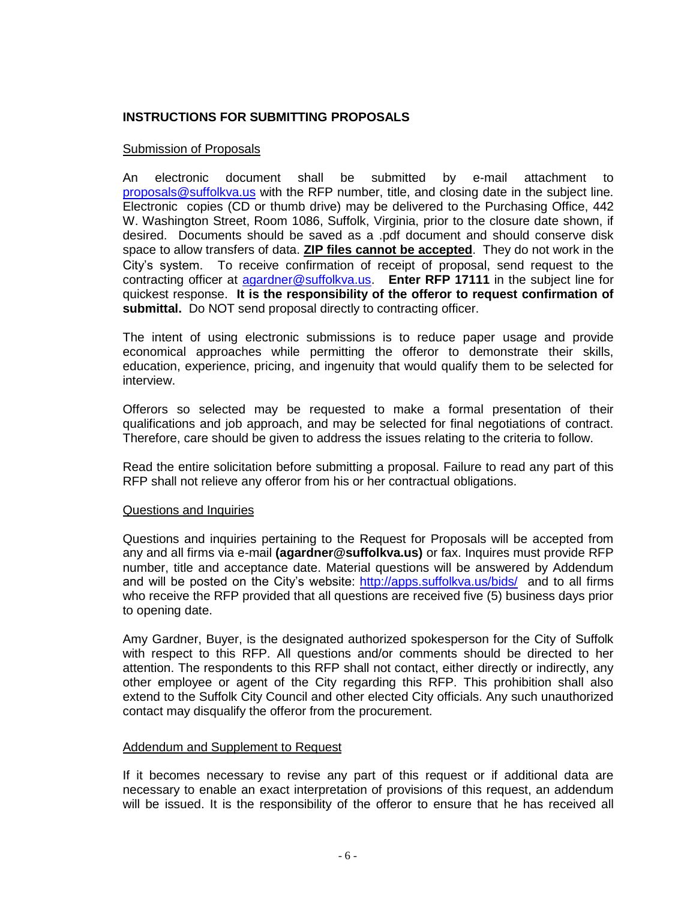# <span id="page-5-0"></span>**INSTRUCTIONS FOR SUBMITTING PROPOSALS**

#### Submission of Proposals

An electronic document shall be submitted by e-mail attachment to [proposals@suffolkva.us](mailto:proposals@suffolkva.us) with the RFP number, title, and closing date in the subject line. Electronic copies (CD or thumb drive) may be delivered to the Purchasing Office, 442 W. Washington Street, Room 1086, Suffolk, Virginia, prior to the closure date shown, if desired. Documents should be saved as a .pdf document and should conserve disk space to allow transfers of data. **ZIP files cannot be accepted**. They do not work in the City's system. To receive confirmation of receipt of proposal, send request to the contracting officer at [agardner@suffolkva.us.](mailto:agardner@suffolkva.us) **Enter RFP 17111** in the subject line for quickest response. **It is the responsibility of the offeror to request confirmation of submittal.** Do NOT send proposal directly to contracting officer.

The intent of using electronic submissions is to reduce paper usage and provide economical approaches while permitting the offeror to demonstrate their skills, education, experience, pricing, and ingenuity that would qualify them to be selected for interview.

Offerors so selected may be requested to make a formal presentation of their qualifications and job approach, and may be selected for final negotiations of contract. Therefore, care should be given to address the issues relating to the criteria to follow.

Read the entire solicitation before submitting a proposal. Failure to read any part of this RFP shall not relieve any offeror from his or her contractual obligations.

#### Questions and Inquiries

Questions and inquiries pertaining to the Request for Proposals will be accepted from any and all firms via e-mail **(agardner@suffolkva.us)** or fax. Inquires must provide RFP number, title and acceptance date. Material questions will be answered by Addendum and will be posted on the City's website: <http://apps.suffolkva.us/bids/>and to all firms who receive the RFP provided that all questions are received five (5) business days prior to opening date.

Amy Gardner, Buyer, is the designated authorized spokesperson for the City of Suffolk with respect to this RFP. All questions and/or comments should be directed to her attention. The respondents to this RFP shall not contact, either directly or indirectly, any other employee or agent of the City regarding this RFP. This prohibition shall also extend to the Suffolk City Council and other elected City officials. Any such unauthorized contact may disqualify the offeror from the procurement.

#### Addendum and Supplement to Request

If it becomes necessary to revise any part of this request or if additional data are necessary to enable an exact interpretation of provisions of this request, an addendum will be issued. It is the responsibility of the offeror to ensure that he has received all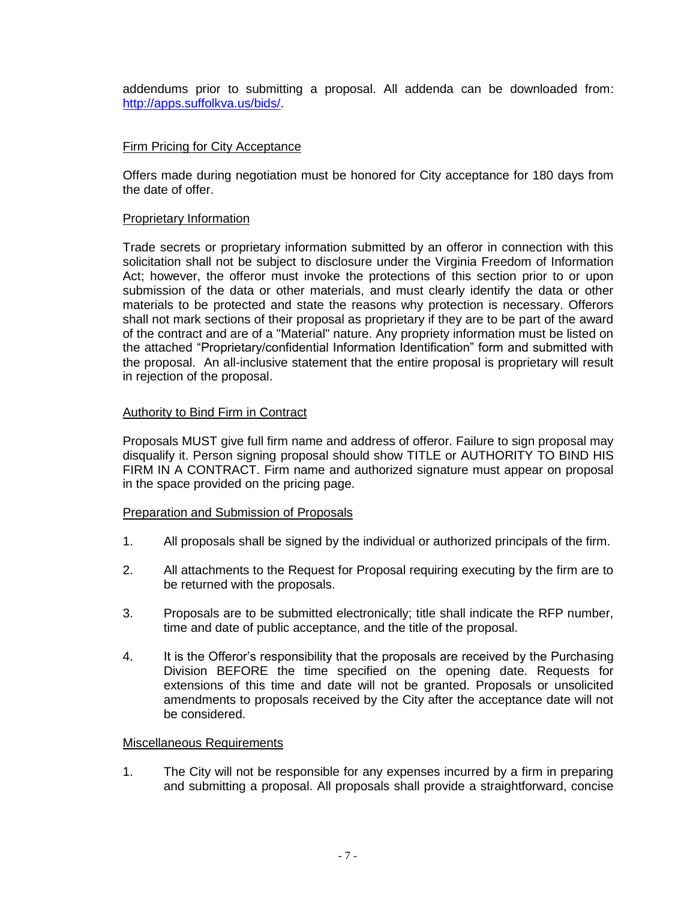addendums prior to submitting a proposal. All addenda can be downloaded from: [http://apps.suffolkva.us/bids/.](http://apps.suffolkva.us/bids/)

### Firm Pricing for City Acceptance

Offers made during negotiation must be honored for City acceptance for 180 days from the date of offer.

#### Proprietary Information

Trade secrets or proprietary information submitted by an offeror in connection with this solicitation shall not be subject to disclosure under the Virginia Freedom of Information Act; however, the offeror must invoke the protections of this section prior to or upon submission of the data or other materials, and must clearly identify the data or other materials to be protected and state the reasons why protection is necessary. Offerors shall not mark sections of their proposal as proprietary if they are to be part of the award of the contract and are of a "Material" nature. Any propriety information must be listed on the attached "Proprietary/confidential Information Identification" form and submitted with the proposal. An all-inclusive statement that the entire proposal is proprietary will result in rejection of the proposal.

#### Authority to Bind Firm in Contract

Proposals MUST give full firm name and address of offeror. Failure to sign proposal may disqualify it. Person signing proposal should show TITLE or AUTHORITY TO BIND HIS FIRM IN A CONTRACT. Firm name and authorized signature must appear on proposal in the space provided on the pricing page.

#### Preparation and Submission of Proposals

- 1. All proposals shall be signed by the individual or authorized principals of the firm.
- 2. All attachments to the Request for Proposal requiring executing by the firm are to be returned with the proposals.
- 3. Proposals are to be submitted electronically; title shall indicate the RFP number, time and date of public acceptance, and the title of the proposal.
- 4. It is the Offeror's responsibility that the proposals are received by the Purchasing Division BEFORE the time specified on the opening date. Requests for extensions of this time and date will not be granted. Proposals or unsolicited amendments to proposals received by the City after the acceptance date will not be considered.

#### Miscellaneous Requirements

1. The City will not be responsible for any expenses incurred by a firm in preparing and submitting a proposal. All proposals shall provide a straightforward, concise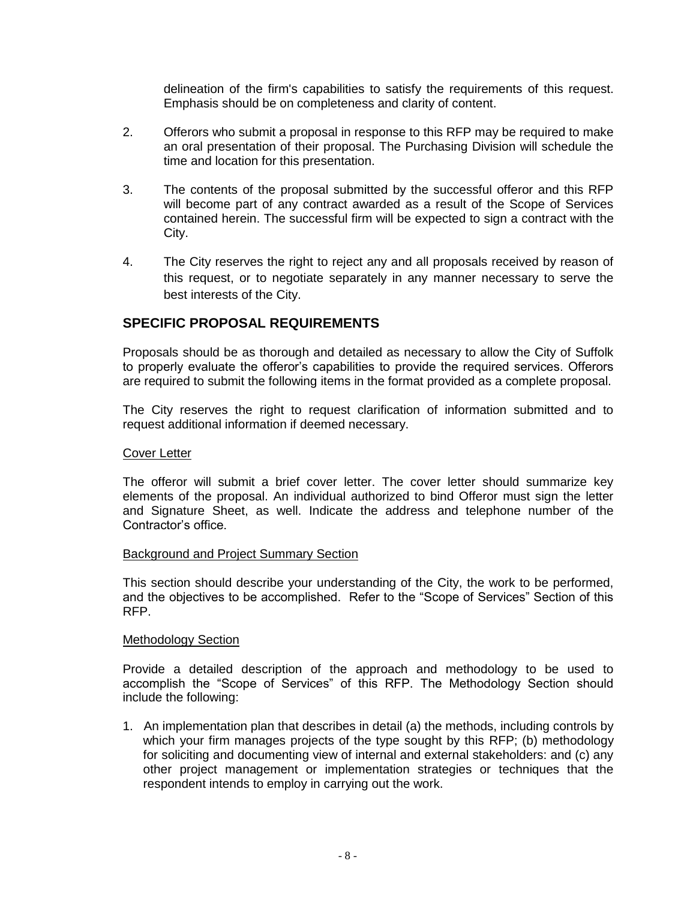delineation of the firm's capabilities to satisfy the requirements of this request. Emphasis should be on completeness and clarity of content.

- 2. Offerors who submit a proposal in response to this RFP may be required to make an oral presentation of their proposal. The Purchasing Division will schedule the time and location for this presentation.
- 3. The contents of the proposal submitted by the successful offeror and this RFP will become part of any contract awarded as a result of the Scope of Services contained herein. The successful firm will be expected to sign a contract with the City.
- 4. The City reserves the right to reject any and all proposals received by reason of this request, or to negotiate separately in any manner necessary to serve the best interests of the City.

# <span id="page-7-0"></span>**SPECIFIC PROPOSAL REQUIREMENTS**

Proposals should be as thorough and detailed as necessary to allow the City of Suffolk to properly evaluate the offeror's capabilities to provide the required services. Offerors are required to submit the following items in the format provided as a complete proposal.

The City reserves the right to request clarification of information submitted and to request additional information if deemed necessary.

#### Cover Letter

The offeror will submit a brief cover letter. The cover letter should summarize key elements of the proposal. An individual authorized to bind Offeror must sign the letter and Signature Sheet, as well. Indicate the address and telephone number of the Contractor's office.

#### Background and Project Summary Section

This section should describe your understanding of the City, the work to be performed, and the objectives to be accomplished. Refer to the "Scope of Services" Section of this RFP.

#### Methodology Section

Provide a detailed description of the approach and methodology to be used to accomplish the "Scope of Services" of this RFP. The Methodology Section should include the following:

1. An implementation plan that describes in detail (a) the methods, including controls by which your firm manages projects of the type sought by this RFP; (b) methodology for soliciting and documenting view of internal and external stakeholders: and (c) any other project management or implementation strategies or techniques that the respondent intends to employ in carrying out the work.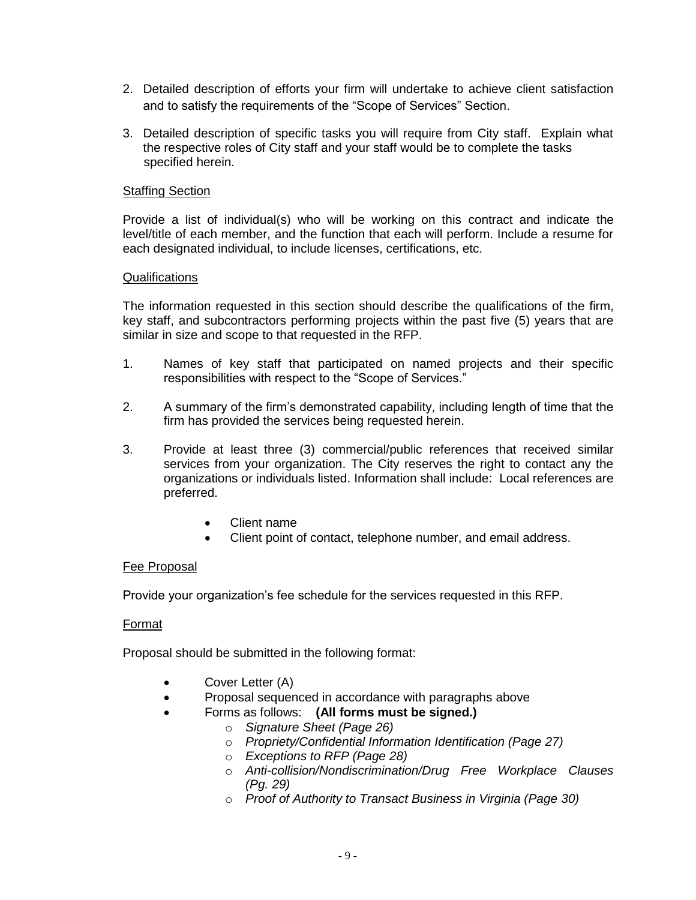- 2. Detailed description of efforts your firm will undertake to achieve client satisfaction and to satisfy the requirements of the "Scope of Services" Section.
- 3. Detailed description of specific tasks you will require from City staff. Explain what the respective roles of City staff and your staff would be to complete the tasks specified herein.

#### Staffing Section

Provide a list of individual(s) who will be working on this contract and indicate the level/title of each member, and the function that each will perform. Include a resume for each designated individual, to include licenses, certifications, etc.

#### **Qualifications**

The information requested in this section should describe the qualifications of the firm, key staff, and subcontractors performing projects within the past five (5) years that are similar in size and scope to that requested in the RFP.

- 1. Names of key staff that participated on named projects and their specific responsibilities with respect to the "Scope of Services."
- 2. A summary of the firm's demonstrated capability, including length of time that the firm has provided the services being requested herein.
- 3. Provide at least three (3) commercial/public references that received similar services from your organization. The City reserves the right to contact any the organizations or individuals listed. Information shall include: Local references are preferred.
	- Client name
	- Client point of contact, telephone number, and email address.

#### Fee Proposal

Provide your organization's fee schedule for the services requested in this RFP.

#### Format

Proposal should be submitted in the following format:

- Cover Letter (A)
- Proposal sequenced in accordance with paragraphs above
	- Forms as follows: **(All forms must be signed.)**
		- o *Signature Sheet (Page 26)*
		- o *Propriety/Confidential Information Identification (Page 27)*
		- o *Exceptions to RFP (Page 28)*
		- o *Anti-collision/Nondiscrimination/Drug Free Workplace Clauses (Pg. 29)*
		- o *Proof of Authority to Transact Business in Virginia (Page 30)*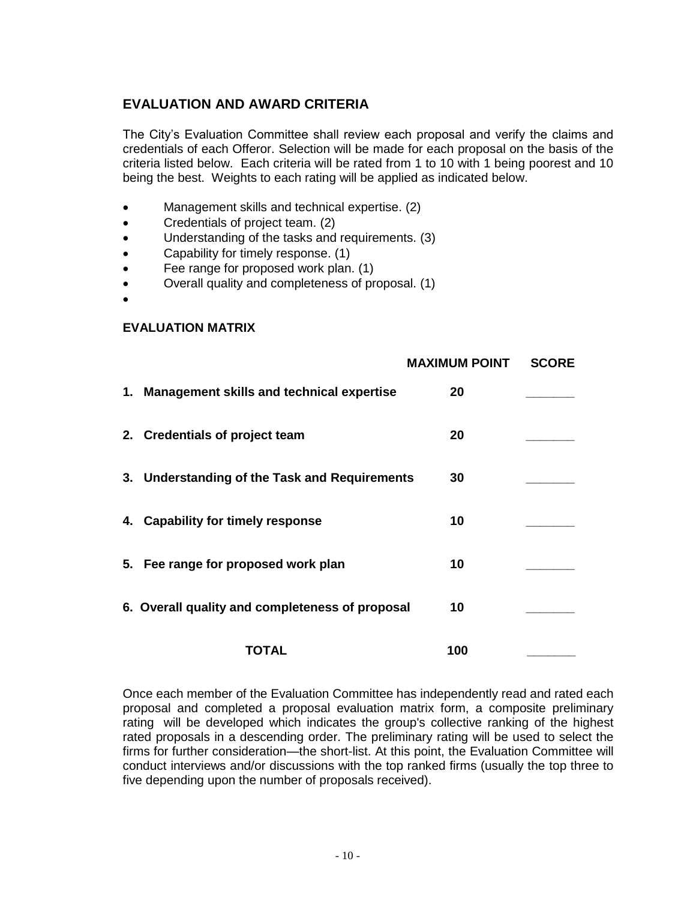# **EVALUATION AND AWARD CRITERIA**

The City's Evaluation Committee shall review each proposal and verify the claims and credentials of each Offeror. Selection will be made for each proposal on the basis of the criteria listed below. Each criteria will be rated from 1 to 10 with 1 being poorest and 10 being the best. Weights to each rating will be applied as indicated below.

- Management skills and technical expertise. (2)
- Credentials of project team. (2)
- Understanding of the tasks and requirements. (3)
- Capability for timely response. (1)
- Fee range for proposed work plan. (1)
- Overall quality and completeness of proposal. (1)
- $\bullet$

#### **EVALUATION MATRIX**

|                                                 | <b>MAXIMUM POINT</b> | <b>SCORE</b> |
|-------------------------------------------------|----------------------|--------------|
| 1. Management skills and technical expertise    | 20                   |              |
| 2. Credentials of project team                  | 20                   |              |
| 3. Understanding of the Task and Requirements   | 30                   |              |
| 4. Capability for timely response               | 10                   |              |
| 5. Fee range for proposed work plan             | 10                   |              |
| 6. Overall quality and completeness of proposal | 10                   |              |
| TOTAL                                           | 100                  |              |

Once each member of the Evaluation Committee has independently read and rated each proposal and completed a proposal evaluation matrix form, a composite preliminary rating will be developed which indicates the group's collective ranking of the highest rated proposals in a descending order. The preliminary rating will be used to select the firms for further consideration—the short-list. At this point, the Evaluation Committee will conduct interviews and/or discussions with the top ranked firms (usually the top three to five depending upon the number of proposals received).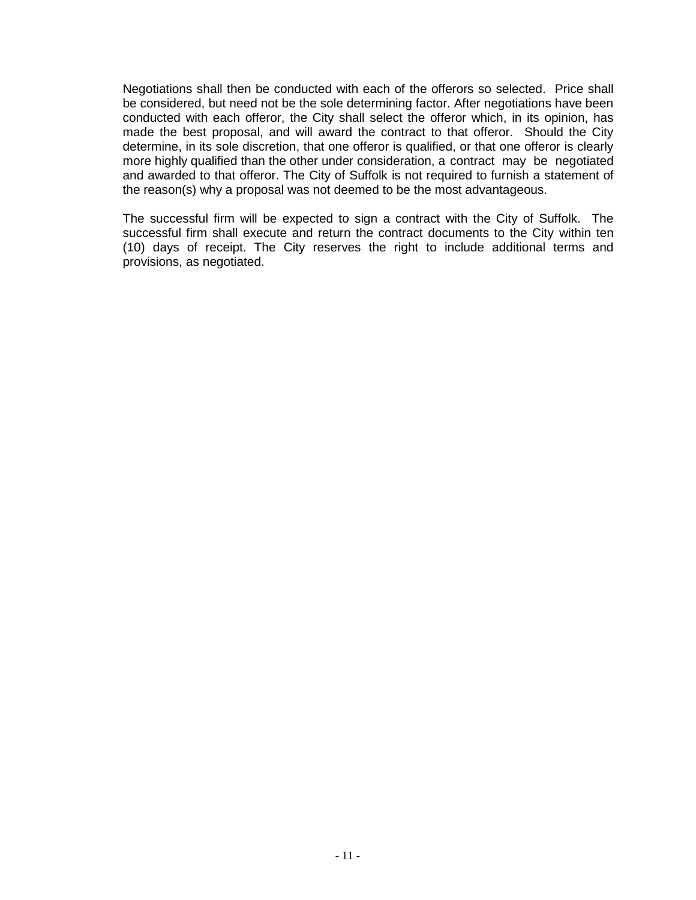Negotiations shall then be conducted with each of the offerors so selected. Price shall be considered, but need not be the sole determining factor. After negotiations have been conducted with each offeror, the City shall select the offeror which, in its opinion, has made the best proposal, and will award the contract to that offeror. Should the City determine, in its sole discretion, that one offeror is qualified, or that one offeror is clearly more highly qualified than the other under consideration, a contract may be negotiated and awarded to that offeror. The City of Suffolk is not required to furnish a statement of the reason(s) why a proposal was not deemed to be the most advantageous.

The successful firm will be expected to sign a contract with the City of Suffolk. The successful firm shall execute and return the contract documents to the City within ten (10) days of receipt. The City reserves the right to include additional terms and provisions, as negotiated.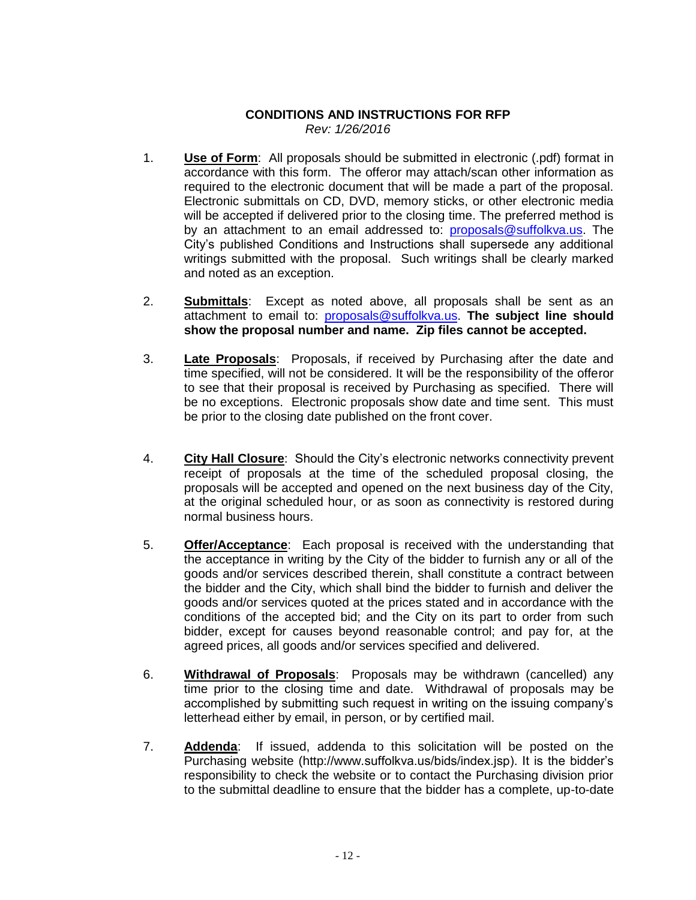# **CONDITIONS AND INSTRUCTIONS FOR RFP** *Rev: 1/26/2016*

- <span id="page-11-0"></span>1. **Use of Form**: All proposals should be submitted in electronic (.pdf) format in accordance with this form. The offeror may attach/scan other information as required to the electronic document that will be made a part of the proposal. Electronic submittals on CD, DVD, memory sticks, or other electronic media will be accepted if delivered prior to the closing time. The preferred method is by an attachment to an email addressed to: [proposals@suffolkva.us.](mailto:proposals@suffolkva.us) The City's published Conditions and Instructions shall supersede any additional writings submitted with the proposal. Such writings shall be clearly marked and noted as an exception.
- 2. **Submittals**: Except as noted above, all proposals shall be sent as an attachment to email to: [proposals@suffolkva.us.](mailto:proposals@suffolkva.us) **The subject line should show the proposal number and name. Zip files cannot be accepted.**
- 3. **Late Proposals**: Proposals, if received by Purchasing after the date and time specified, will not be considered. It will be the responsibility of the offeror to see that their proposal is received by Purchasing as specified. There will be no exceptions. Electronic proposals show date and time sent. This must be prior to the closing date published on the front cover.
- 4. **City Hall Closure**: Should the City's electronic networks connectivity prevent receipt of proposals at the time of the scheduled proposal closing, the proposals will be accepted and opened on the next business day of the City, at the original scheduled hour, or as soon as connectivity is restored during normal business hours.
- 5. **Offer/Acceptance**: Each proposal is received with the understanding that the acceptance in writing by the City of the bidder to furnish any or all of the goods and/or services described therein, shall constitute a contract between the bidder and the City, which shall bind the bidder to furnish and deliver the goods and/or services quoted at the prices stated and in accordance with the conditions of the accepted bid; and the City on its part to order from such bidder, except for causes beyond reasonable control; and pay for, at the agreed prices, all goods and/or services specified and delivered.
- 6. **Withdrawal of Proposals**: Proposals may be withdrawn (cancelled) any time prior to the closing time and date. Withdrawal of proposals may be accomplished by submitting such request in writing on the issuing company's letterhead either by email, in person, or by certified mail.
- 7. **Addenda**: If issued, addenda to this solicitation will be posted on the Purchasing website (http://www.suffolkva.us/bids/index.jsp). It is the bidder's responsibility to check the website or to contact the Purchasing division prior to the submittal deadline to ensure that the bidder has a complete, up-to-date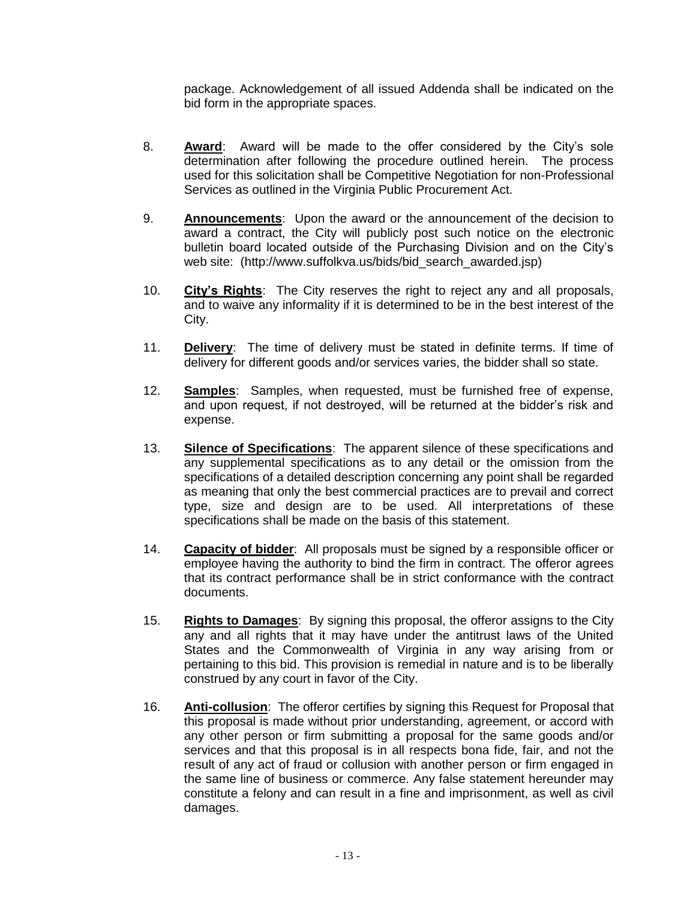package. Acknowledgement of all issued Addenda shall be indicated on the bid form in the appropriate spaces.

- 8. **Award**: Award will be made to the offer considered by the City's sole determination after following the procedure outlined herein. The process used for this solicitation shall be Competitive Negotiation for non-Professional Services as outlined in the Virginia Public Procurement Act.
- 9. **Announcements**: Upon the award or the announcement of the decision to award a contract, the City will publicly post such notice on the electronic bulletin board located outside of the Purchasing Division and on the City's web site: (http://www.suffolkva.us/bids/bid\_search\_awarded.jsp)
- 10. **City's Rights**: The City reserves the right to reject any and all proposals, and to waive any informality if it is determined to be in the best interest of the City.
- 11. **Delivery**: The time of delivery must be stated in definite terms. If time of delivery for different goods and/or services varies, the bidder shall so state.
- 12. **Samples**: Samples, when requested, must be furnished free of expense, and upon request, if not destroyed, will be returned at the bidder's risk and expense.
- 13. **Silence of Specifications**: The apparent silence of these specifications and any supplemental specifications as to any detail or the omission from the specifications of a detailed description concerning any point shall be regarded as meaning that only the best commercial practices are to prevail and correct type, size and design are to be used. All interpretations of these specifications shall be made on the basis of this statement.
- 14. **Capacity of bidder**: All proposals must be signed by a responsible officer or employee having the authority to bind the firm in contract. The offeror agrees that its contract performance shall be in strict conformance with the contract documents.
- 15. **Rights to Damages**: By signing this proposal, the offeror assigns to the City any and all rights that it may have under the antitrust laws of the United States and the Commonwealth of Virginia in any way arising from or pertaining to this bid. This provision is remedial in nature and is to be liberally construed by any court in favor of the City.
- 16. **Anti-collusion**: The offeror certifies by signing this Request for Proposal that this proposal is made without prior understanding, agreement, or accord with any other person or firm submitting a proposal for the same goods and/or services and that this proposal is in all respects bona fide, fair, and not the result of any act of fraud or collusion with another person or firm engaged in the same line of business or commerce. Any false statement hereunder may constitute a felony and can result in a fine and imprisonment, as well as civil damages.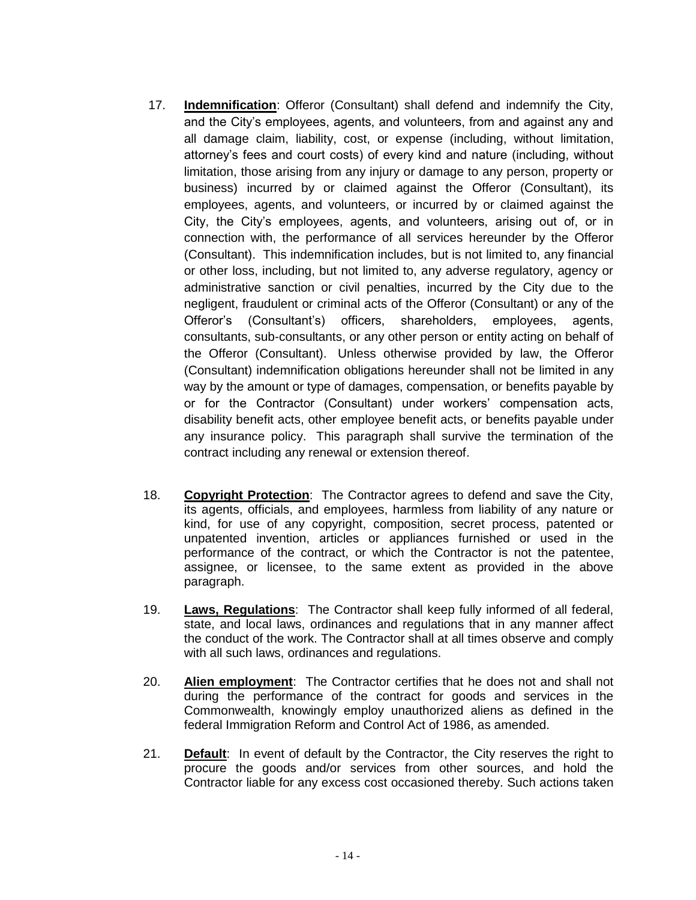- 17. **Indemnification**: Offeror (Consultant) shall defend and indemnify the City, and the City's employees, agents, and volunteers, from and against any and all damage claim, liability, cost, or expense (including, without limitation, attorney's fees and court costs) of every kind and nature (including, without limitation, those arising from any injury or damage to any person, property or business) incurred by or claimed against the Offeror (Consultant), its employees, agents, and volunteers, or incurred by or claimed against the City, the City's employees, agents, and volunteers, arising out of, or in connection with, the performance of all services hereunder by the Offeror (Consultant). This indemnification includes, but is not limited to, any financial or other loss, including, but not limited to, any adverse regulatory, agency or administrative sanction or civil penalties, incurred by the City due to the negligent, fraudulent or criminal acts of the Offeror (Consultant) or any of the Offeror's (Consultant's) officers, shareholders, employees, agents, consultants, sub-consultants, or any other person or entity acting on behalf of the Offeror (Consultant). Unless otherwise provided by law, the Offeror (Consultant) indemnification obligations hereunder shall not be limited in any way by the amount or type of damages, compensation, or benefits payable by or for the Contractor (Consultant) under workers' compensation acts, disability benefit acts, other employee benefit acts, or benefits payable under any insurance policy. This paragraph shall survive the termination of the contract including any renewal or extension thereof.
- 18. **Copyright Protection**: The Contractor agrees to defend and save the City, its agents, officials, and employees, harmless from liability of any nature or kind, for use of any copyright, composition, secret process, patented or unpatented invention, articles or appliances furnished or used in the performance of the contract, or which the Contractor is not the patentee, assignee, or licensee, to the same extent as provided in the above paragraph.
- 19. **Laws, Regulations**: The Contractor shall keep fully informed of all federal, state, and local laws, ordinances and regulations that in any manner affect the conduct of the work. The Contractor shall at all times observe and comply with all such laws, ordinances and regulations.
- 20. **Alien employment**: The Contractor certifies that he does not and shall not during the performance of the contract for goods and services in the Commonwealth, knowingly employ unauthorized aliens as defined in the federal Immigration Reform and Control Act of 1986, as amended.
- 21. **Default**: In event of default by the Contractor, the City reserves the right to procure the goods and/or services from other sources, and hold the Contractor liable for any excess cost occasioned thereby. Such actions taken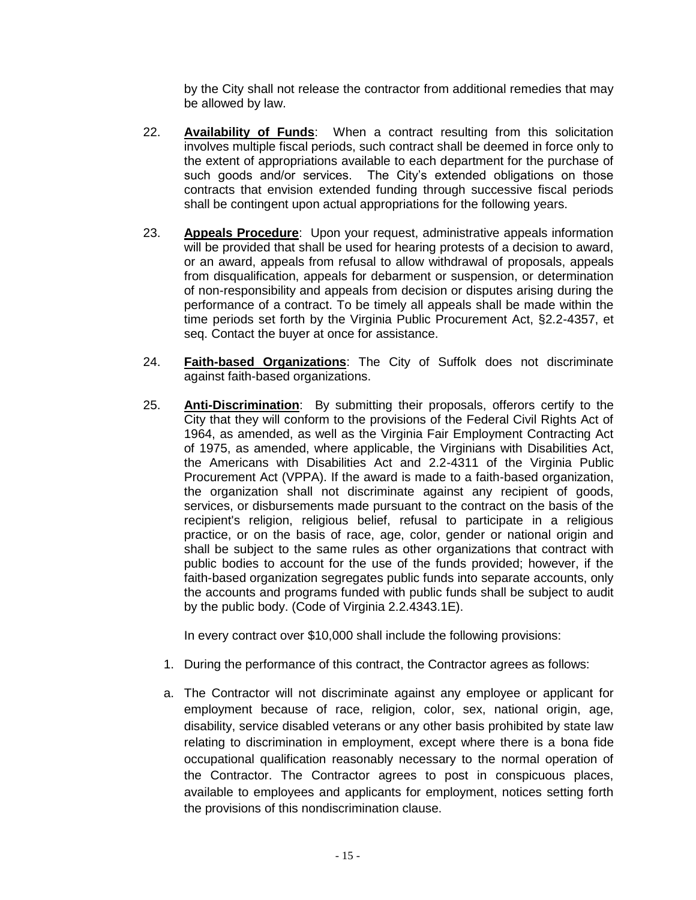by the City shall not release the contractor from additional remedies that may be allowed by law.

- 22. **Availability of Funds**: When a contract resulting from this solicitation involves multiple fiscal periods, such contract shall be deemed in force only to the extent of appropriations available to each department for the purchase of such goods and/or services. The City's extended obligations on those contracts that envision extended funding through successive fiscal periods shall be contingent upon actual appropriations for the following years.
- 23. **Appeals Procedure**: Upon your request, administrative appeals information will be provided that shall be used for hearing protests of a decision to award, or an award, appeals from refusal to allow withdrawal of proposals, appeals from disqualification, appeals for debarment or suspension, or determination of non-responsibility and appeals from decision or disputes arising during the performance of a contract. To be timely all appeals shall be made within the time periods set forth by the Virginia Public Procurement Act, §2.2-4357, et seq. Contact the buyer at once for assistance.
- 24. **Faith-based Organizations**: The City of Suffolk does not discriminate against faith-based organizations.
- 25. **Anti-Discrimination**: By submitting their proposals, offerors certify to the City that they will conform to the provisions of the Federal Civil Rights Act of 1964, as amended, as well as the Virginia Fair Employment Contracting Act of 1975, as amended, where applicable, the Virginians with Disabilities Act, the Americans with Disabilities Act and 2.2-4311 of the Virginia Public Procurement Act (VPPA). If the award is made to a faith-based organization, the organization shall not discriminate against any recipient of goods, services, or disbursements made pursuant to the contract on the basis of the recipient's religion, religious belief, refusal to participate in a religious practice, or on the basis of race, age, color, gender or national origin and shall be subject to the same rules as other organizations that contract with public bodies to account for the use of the funds provided; however, if the faith-based organization segregates public funds into separate accounts, only the accounts and programs funded with public funds shall be subject to audit by the public body. (Code of Virginia 2.2.4343.1E).

In every contract over \$10,000 shall include the following provisions:

- 1. During the performance of this contract, the Contractor agrees as follows:
- a. The Contractor will not discriminate against any employee or applicant for employment because of race, religion, color, sex, national origin, age, disability, service disabled veterans or any other basis prohibited by state law relating to discrimination in employment, except where there is a bona fide occupational qualification reasonably necessary to the normal operation of the Contractor. The Contractor agrees to post in conspicuous places, available to employees and applicants for employment, notices setting forth the provisions of this nondiscrimination clause.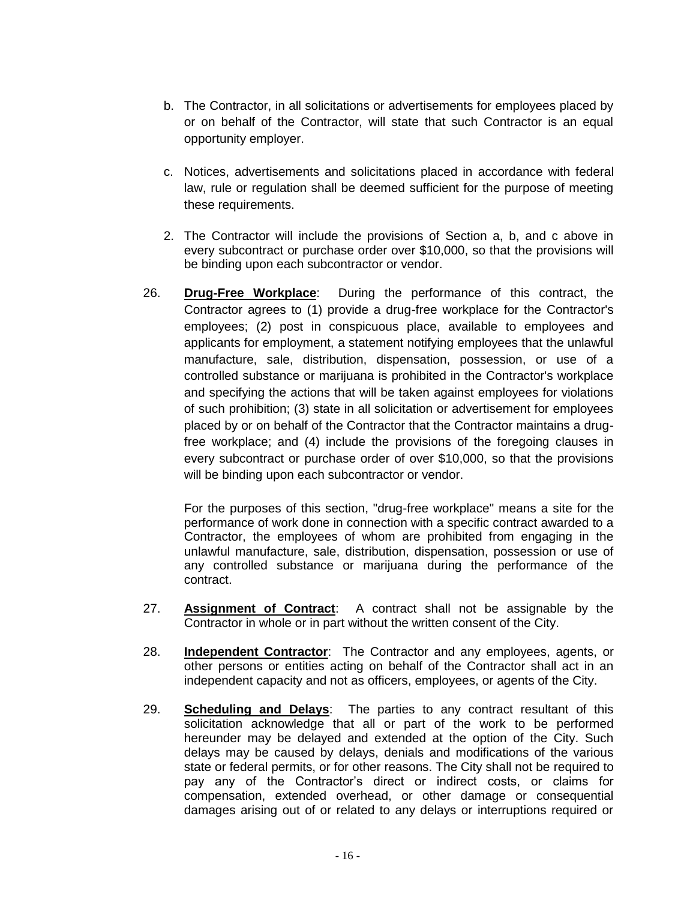- b. The Contractor, in all solicitations or advertisements for employees placed by or on behalf of the Contractor, will state that such Contractor is an equal opportunity employer.
- c. Notices, advertisements and solicitations placed in accordance with federal law, rule or regulation shall be deemed sufficient for the purpose of meeting these requirements.
- 2. The Contractor will include the provisions of Section a, b, and c above in every subcontract or purchase order over \$10,000, so that the provisions will be binding upon each subcontractor or vendor.
- 26. **Drug-Free Workplace**: During the performance of this contract, the Contractor agrees to (1) provide a drug-free workplace for the Contractor's employees; (2) post in conspicuous place, available to employees and applicants for employment, a statement notifying employees that the unlawful manufacture, sale, distribution, dispensation, possession, or use of a controlled substance or marijuana is prohibited in the Contractor's workplace and specifying the actions that will be taken against employees for violations of such prohibition; (3) state in all solicitation or advertisement for employees placed by or on behalf of the Contractor that the Contractor maintains a drugfree workplace; and (4) include the provisions of the foregoing clauses in every subcontract or purchase order of over \$10,000, so that the provisions will be binding upon each subcontractor or vendor.

For the purposes of this section, "drug-free workplace" means a site for the performance of work done in connection with a specific contract awarded to a Contractor, the employees of whom are prohibited from engaging in the unlawful manufacture, sale, distribution, dispensation, possession or use of any controlled substance or marijuana during the performance of the contract.

- 27. **Assignment of Contract**: A contract shall not be assignable by the Contractor in whole or in part without the written consent of the City.
- 28. **Independent Contractor**: The Contractor and any employees, agents, or other persons or entities acting on behalf of the Contractor shall act in an independent capacity and not as officers, employees, or agents of the City.
- 29. **Scheduling and Delays**: The parties to any contract resultant of this solicitation acknowledge that all or part of the work to be performed hereunder may be delayed and extended at the option of the City. Such delays may be caused by delays, denials and modifications of the various state or federal permits, or for other reasons. The City shall not be required to pay any of the Contractor's direct or indirect costs, or claims for compensation, extended overhead, or other damage or consequential damages arising out of or related to any delays or interruptions required or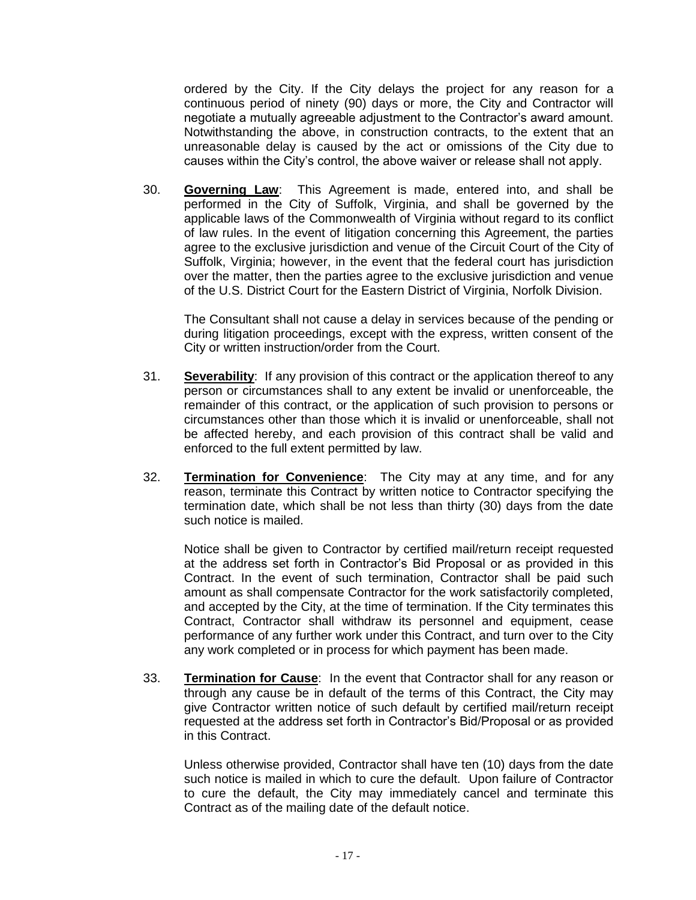ordered by the City. If the City delays the project for any reason for a continuous period of ninety (90) days or more, the City and Contractor will negotiate a mutually agreeable adjustment to the Contractor's award amount. Notwithstanding the above, in construction contracts, to the extent that an unreasonable delay is caused by the act or omissions of the City due to causes within the City's control, the above waiver or release shall not apply.

30. **Governing Law**: This Agreement is made, entered into, and shall be performed in the City of Suffolk, Virginia, and shall be governed by the applicable laws of the Commonwealth of Virginia without regard to its conflict of law rules. In the event of litigation concerning this Agreement, the parties agree to the exclusive jurisdiction and venue of the Circuit Court of the City of Suffolk, Virginia; however, in the event that the federal court has jurisdiction over the matter, then the parties agree to the exclusive jurisdiction and venue of the U.S. District Court for the Eastern District of Virginia, Norfolk Division.

The Consultant shall not cause a delay in services because of the pending or during litigation proceedings, except with the express, written consent of the City or written instruction/order from the Court.

- 31. **Severability**: If any provision of this contract or the application thereof to any person or circumstances shall to any extent be invalid or unenforceable, the remainder of this contract, or the application of such provision to persons or circumstances other than those which it is invalid or unenforceable, shall not be affected hereby, and each provision of this contract shall be valid and enforced to the full extent permitted by law.
- 32. **Termination for Convenience**: The City may at any time, and for any reason, terminate this Contract by written notice to Contractor specifying the termination date, which shall be not less than thirty (30) days from the date such notice is mailed.

Notice shall be given to Contractor by certified mail/return receipt requested at the address set forth in Contractor's Bid Proposal or as provided in this Contract. In the event of such termination, Contractor shall be paid such amount as shall compensate Contractor for the work satisfactorily completed, and accepted by the City, at the time of termination. If the City terminates this Contract, Contractor shall withdraw its personnel and equipment, cease performance of any further work under this Contract, and turn over to the City any work completed or in process for which payment has been made.

33. **Termination for Cause**: In the event that Contractor shall for any reason or through any cause be in default of the terms of this Contract, the City may give Contractor written notice of such default by certified mail/return receipt requested at the address set forth in Contractor's Bid/Proposal or as provided in this Contract.

Unless otherwise provided, Contractor shall have ten (10) days from the date such notice is mailed in which to cure the default. Upon failure of Contractor to cure the default, the City may immediately cancel and terminate this Contract as of the mailing date of the default notice.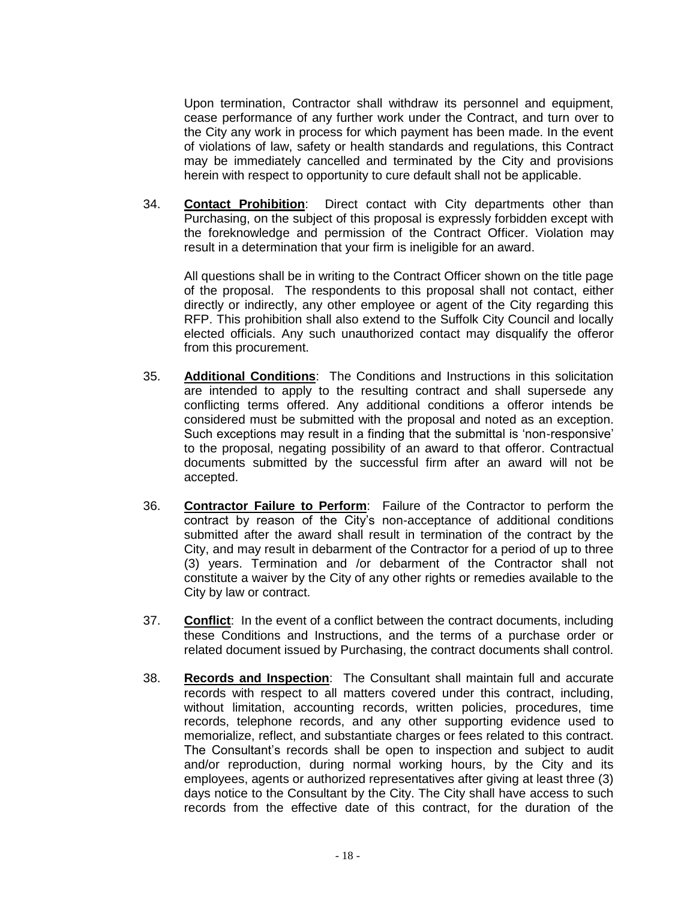Upon termination, Contractor shall withdraw its personnel and equipment, cease performance of any further work under the Contract, and turn over to the City any work in process for which payment has been made. In the event of violations of law, safety or health standards and regulations, this Contract may be immediately cancelled and terminated by the City and provisions herein with respect to opportunity to cure default shall not be applicable.

34. **Contact Prohibition**: Direct contact with City departments other than Purchasing, on the subject of this proposal is expressly forbidden except with the foreknowledge and permission of the Contract Officer. Violation may result in a determination that your firm is ineligible for an award.

All questions shall be in writing to the Contract Officer shown on the title page of the proposal. The respondents to this proposal shall not contact, either directly or indirectly, any other employee or agent of the City regarding this RFP. This prohibition shall also extend to the Suffolk City Council and locally elected officials. Any such unauthorized contact may disqualify the offeror from this procurement.

- 35. **Additional Conditions**: The Conditions and Instructions in this solicitation are intended to apply to the resulting contract and shall supersede any conflicting terms offered. Any additional conditions a offeror intends be considered must be submitted with the proposal and noted as an exception. Such exceptions may result in a finding that the submittal is 'non-responsive' to the proposal, negating possibility of an award to that offeror. Contractual documents submitted by the successful firm after an award will not be accepted.
- 36. **Contractor Failure to Perform**: Failure of the Contractor to perform the contract by reason of the City's non-acceptance of additional conditions submitted after the award shall result in termination of the contract by the City, and may result in debarment of the Contractor for a period of up to three (3) years. Termination and /or debarment of the Contractor shall not constitute a waiver by the City of any other rights or remedies available to the City by law or contract.
- 37. **Conflict**: In the event of a conflict between the contract documents, including these Conditions and Instructions, and the terms of a purchase order or related document issued by Purchasing, the contract documents shall control.
- 38. **Records and Inspection**: The Consultant shall maintain full and accurate records with respect to all matters covered under this contract, including, without limitation, accounting records, written policies, procedures, time records, telephone records, and any other supporting evidence used to memorialize, reflect, and substantiate charges or fees related to this contract. The Consultant's records shall be open to inspection and subject to audit and/or reproduction, during normal working hours, by the City and its employees, agents or authorized representatives after giving at least three (3) days notice to the Consultant by the City. The City shall have access to such records from the effective date of this contract, for the duration of the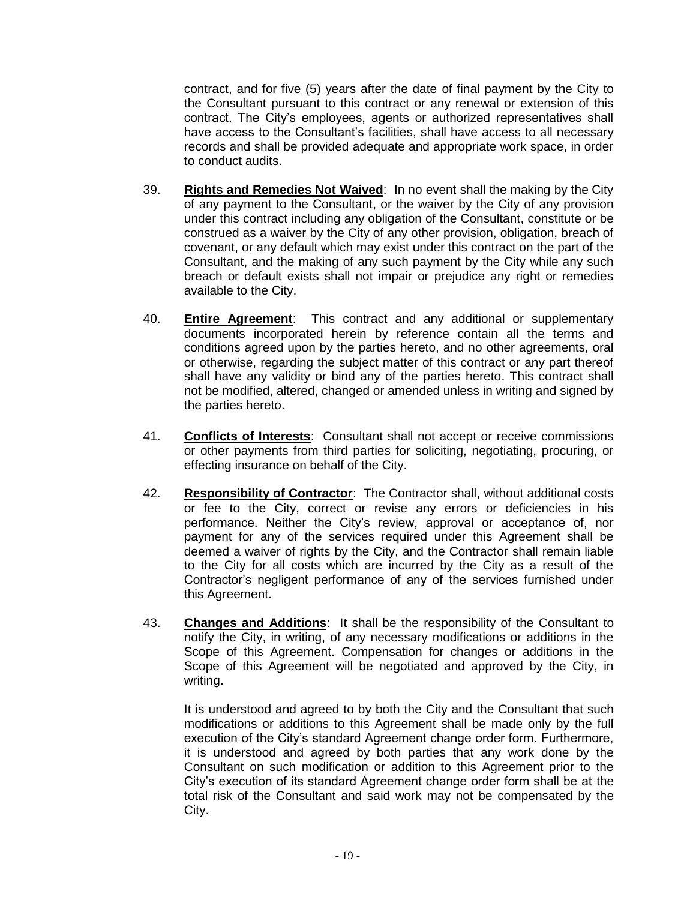contract, and for five (5) years after the date of final payment by the City to the Consultant pursuant to this contract or any renewal or extension of this contract. The City's employees, agents or authorized representatives shall have access to the Consultant's facilities, shall have access to all necessary records and shall be provided adequate and appropriate work space, in order to conduct audits.

- 39. **Rights and Remedies Not Waived**: In no event shall the making by the City of any payment to the Consultant, or the waiver by the City of any provision under this contract including any obligation of the Consultant, constitute or be construed as a waiver by the City of any other provision, obligation, breach of covenant, or any default which may exist under this contract on the part of the Consultant, and the making of any such payment by the City while any such breach or default exists shall not impair or prejudice any right or remedies available to the City.
- 40. **Entire Agreement**: This contract and any additional or supplementary documents incorporated herein by reference contain all the terms and conditions agreed upon by the parties hereto, and no other agreements, oral or otherwise, regarding the subject matter of this contract or any part thereof shall have any validity or bind any of the parties hereto. This contract shall not be modified, altered, changed or amended unless in writing and signed by the parties hereto.
- 41. **Conflicts of Interests**: Consultant shall not accept or receive commissions or other payments from third parties for soliciting, negotiating, procuring, or effecting insurance on behalf of the City.
- 42. **Responsibility of Contractor**: The Contractor shall, without additional costs or fee to the City, correct or revise any errors or deficiencies in his performance. Neither the City's review, approval or acceptance of, nor payment for any of the services required under this Agreement shall be deemed a waiver of rights by the City, and the Contractor shall remain liable to the City for all costs which are incurred by the City as a result of the Contractor's negligent performance of any of the services furnished under this Agreement.
- 43. **Changes and Additions**: It shall be the responsibility of the Consultant to notify the City, in writing, of any necessary modifications or additions in the Scope of this Agreement. Compensation for changes or additions in the Scope of this Agreement will be negotiated and approved by the City, in writing.

It is understood and agreed to by both the City and the Consultant that such modifications or additions to this Agreement shall be made only by the full execution of the City's standard Agreement change order form. Furthermore, it is understood and agreed by both parties that any work done by the Consultant on such modification or addition to this Agreement prior to the City's execution of its standard Agreement change order form shall be at the total risk of the Consultant and said work may not be compensated by the City.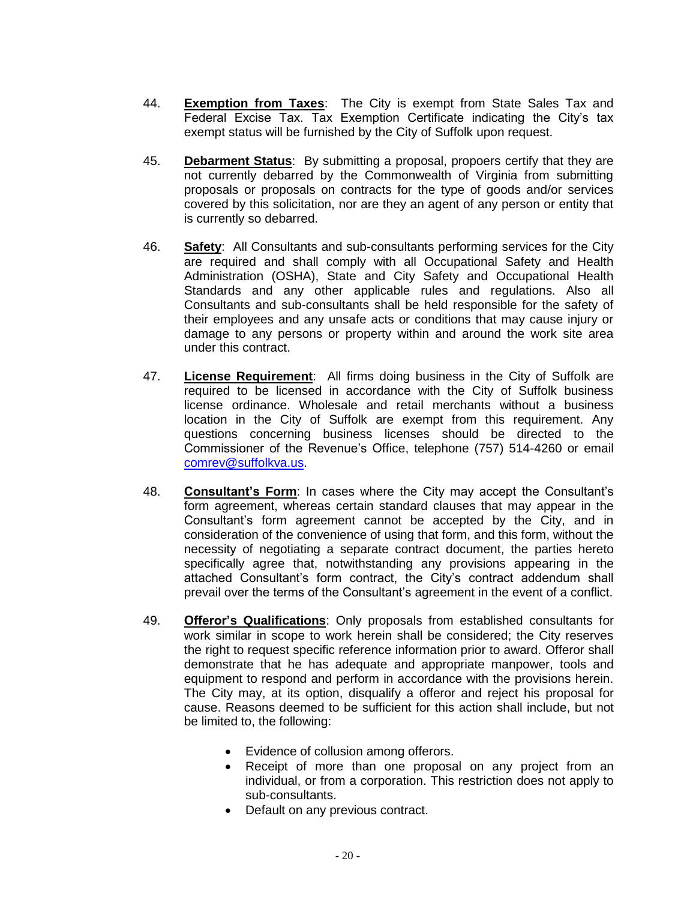- 44. **Exemption from Taxes**: The City is exempt from State Sales Tax and Federal Excise Tax. Tax Exemption Certificate indicating the City's tax exempt status will be furnished by the City of Suffolk upon request.
- 45. **Debarment Status**: By submitting a proposal, propoers certify that they are not currently debarred by the Commonwealth of Virginia from submitting proposals or proposals on contracts for the type of goods and/or services covered by this solicitation, nor are they an agent of any person or entity that is currently so debarred.
- 46. **Safety**: All Consultants and sub-consultants performing services for the City are required and shall comply with all Occupational Safety and Health Administration (OSHA), State and City Safety and Occupational Health Standards and any other applicable rules and regulations. Also all Consultants and sub-consultants shall be held responsible for the safety of their employees and any unsafe acts or conditions that may cause injury or damage to any persons or property within and around the work site area under this contract.
- 47. **License Requirement**: All firms doing business in the City of Suffolk are required to be licensed in accordance with the City of Suffolk business license ordinance. Wholesale and retail merchants without a business location in the City of Suffolk are exempt from this requirement. Any questions concerning business licenses should be directed to the Commissioner of the Revenue's Office, telephone (757) 514-4260 or email [comrev@suffolkva.us.](mailto:comrev@suffolkva.us)
- 48. **Consultant's Form**: In cases where the City may accept the Consultant's form agreement, whereas certain standard clauses that may appear in the Consultant's form agreement cannot be accepted by the City, and in consideration of the convenience of using that form, and this form, without the necessity of negotiating a separate contract document, the parties hereto specifically agree that, notwithstanding any provisions appearing in the attached Consultant's form contract, the City's contract addendum shall prevail over the terms of the Consultant's agreement in the event of a conflict.
- 49. **Offeror's Qualifications**: Only proposals from established consultants for work similar in scope to work herein shall be considered; the City reserves the right to request specific reference information prior to award. Offeror shall demonstrate that he has adequate and appropriate manpower, tools and equipment to respond and perform in accordance with the provisions herein. The City may, at its option, disqualify a offeror and reject his proposal for cause. Reasons deemed to be sufficient for this action shall include, but not be limited to, the following:
	- Evidence of collusion among offerors.
	- Receipt of more than one proposal on any project from an individual, or from a corporation. This restriction does not apply to sub-consultants.
	- Default on any previous contract.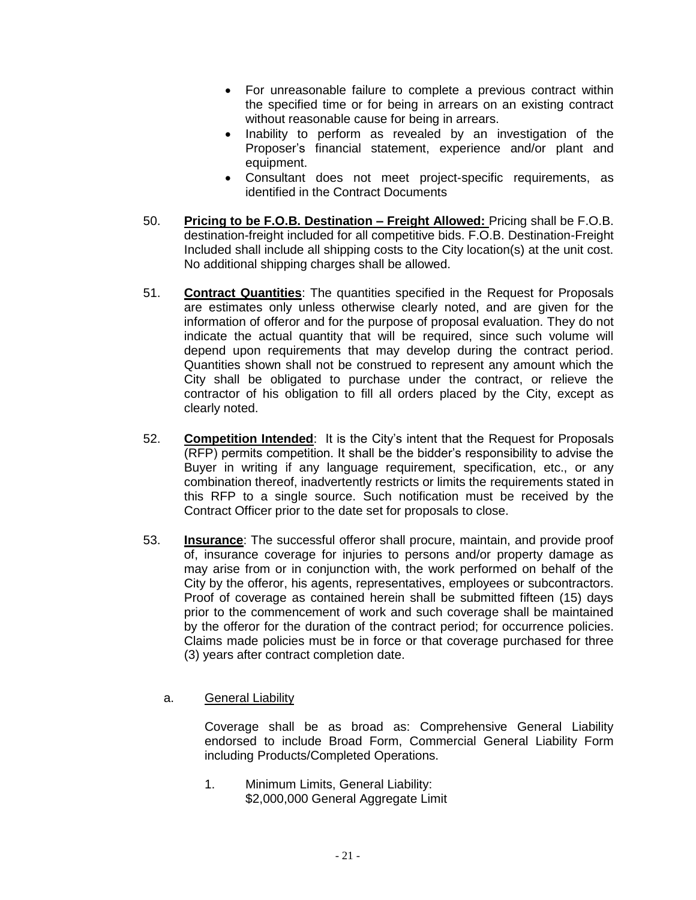- For unreasonable failure to complete a previous contract within the specified time or for being in arrears on an existing contract without reasonable cause for being in arrears.
- Inability to perform as revealed by an investigation of the Proposer's financial statement, experience and/or plant and equipment.
- Consultant does not meet project-specific requirements, as identified in the Contract Documents
- 50. **Pricing to be F.O.B. Destination – Freight Allowed:** Pricing shall be F.O.B. destination-freight included for all competitive bids. F.O.B. Destination-Freight Included shall include all shipping costs to the City location(s) at the unit cost. No additional shipping charges shall be allowed.
- 51. **Contract Quantities**: The quantities specified in the Request for Proposals are estimates only unless otherwise clearly noted, and are given for the information of offeror and for the purpose of proposal evaluation. They do not indicate the actual quantity that will be required, since such volume will depend upon requirements that may develop during the contract period. Quantities shown shall not be construed to represent any amount which the City shall be obligated to purchase under the contract, or relieve the contractor of his obligation to fill all orders placed by the City, except as clearly noted.
- 52. **Competition Intended**: It is the City's intent that the Request for Proposals (RFP) permits competition. It shall be the bidder's responsibility to advise the Buyer in writing if any language requirement, specification, etc., or any combination thereof, inadvertently restricts or limits the requirements stated in this RFP to a single source. Such notification must be received by the Contract Officer prior to the date set for proposals to close.
- 53. **Insurance**: The successful offeror shall procure, maintain, and provide proof of, insurance coverage for injuries to persons and/or property damage as may arise from or in conjunction with, the work performed on behalf of the City by the offeror, his agents, representatives, employees or subcontractors. Proof of coverage as contained herein shall be submitted fifteen (15) days prior to the commencement of work and such coverage shall be maintained by the offeror for the duration of the contract period; for occurrence policies. Claims made policies must be in force or that coverage purchased for three (3) years after contract completion date.
	- a. General Liability

Coverage shall be as broad as: Comprehensive General Liability endorsed to include Broad Form, Commercial General Liability Form including Products/Completed Operations.

1. Minimum Limits, General Liability: \$2,000,000 General Aggregate Limit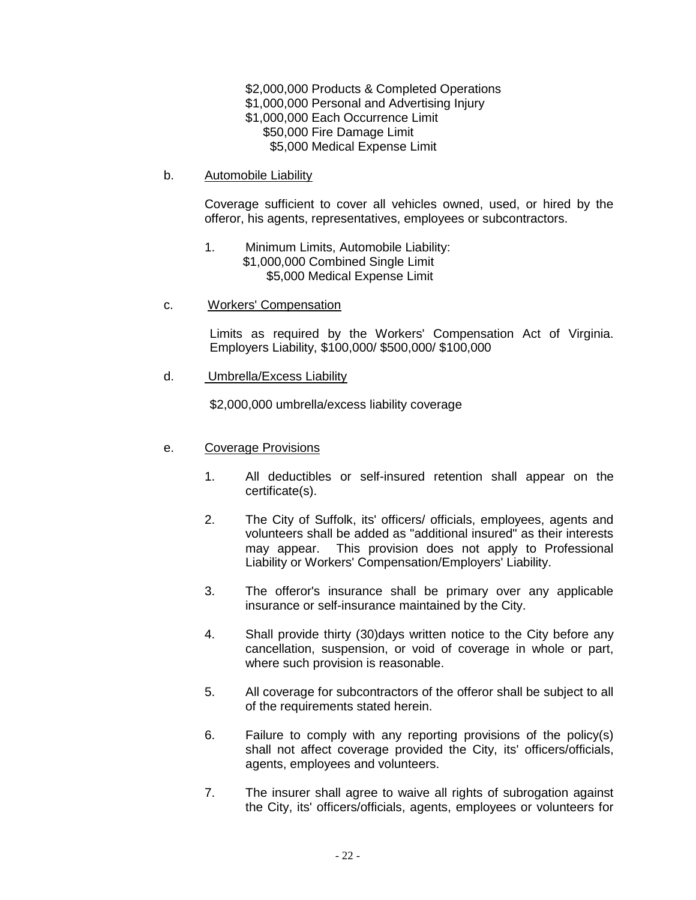\$2,000,000 Products & Completed Operations \$1,000,000 Personal and Advertising Injury \$1,000,000 Each Occurrence Limit \$50,000 Fire Damage Limit \$5,000 Medical Expense Limit

b. Automobile Liability

Coverage sufficient to cover all vehicles owned, used, or hired by the offeror, his agents, representatives, employees or subcontractors.

- 1. Minimum Limits, Automobile Liability: \$1,000,000 Combined Single Limit \$5,000 Medical Expense Limit
- c. Workers' Compensation

Limits as required by the Workers' Compensation Act of Virginia. Employers Liability, \$100,000/ \$500,000/ \$100,000

d. Umbrella/Excess Liability

\$2,000,000 umbrella/excess liability coverage

- e. Coverage Provisions
	- 1. All deductibles or self-insured retention shall appear on the certificate(s).
	- 2. The City of Suffolk, its' officers/ officials, employees, agents and volunteers shall be added as "additional insured" as their interests may appear. This provision does not apply to Professional Liability or Workers' Compensation/Employers' Liability.
	- 3. The offeror's insurance shall be primary over any applicable insurance or self-insurance maintained by the City.
	- 4. Shall provide thirty (30)days written notice to the City before any cancellation, suspension, or void of coverage in whole or part, where such provision is reasonable.
	- 5. All coverage for subcontractors of the offeror shall be subject to all of the requirements stated herein.
	- 6. Failure to comply with any reporting provisions of the policy(s) shall not affect coverage provided the City, its' officers/officials, agents, employees and volunteers.
	- 7. The insurer shall agree to waive all rights of subrogation against the City, its' officers/officials, agents, employees or volunteers for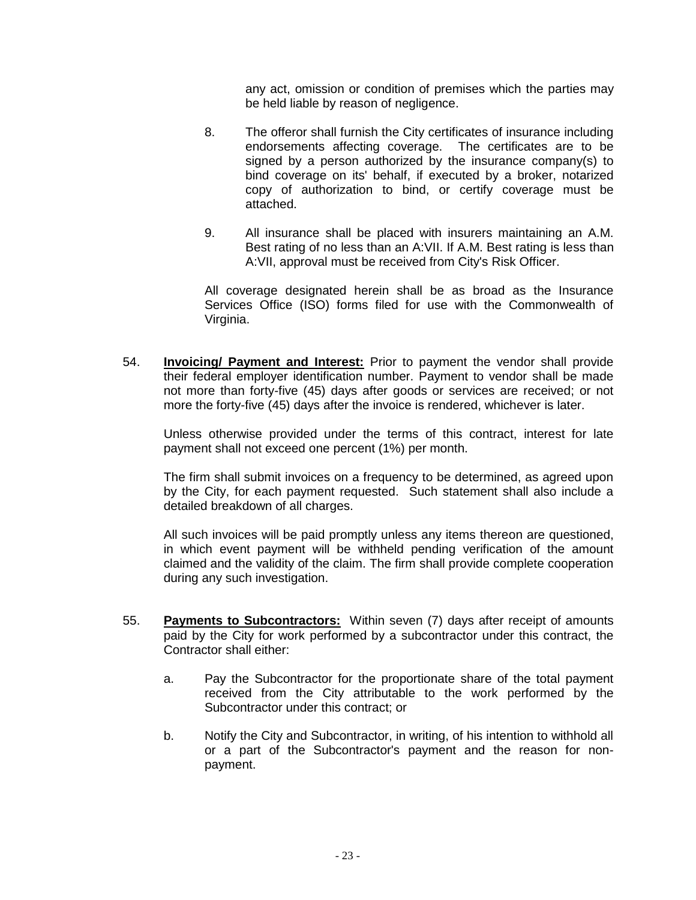any act, omission or condition of premises which the parties may be held liable by reason of negligence.

- 8. The offeror shall furnish the City certificates of insurance including endorsements affecting coverage. The certificates are to be signed by a person authorized by the insurance company(s) to bind coverage on its' behalf, if executed by a broker, notarized copy of authorization to bind, or certify coverage must be attached.
- 9. All insurance shall be placed with insurers maintaining an A.M. Best rating of no less than an A:VII. If A.M. Best rating is less than A:VII, approval must be received from City's Risk Officer.

All coverage designated herein shall be as broad as the Insurance Services Office (ISO) forms filed for use with the Commonwealth of Virginia.

54. **Invoicing/ Payment and Interest:** Prior to payment the vendor shall provide their federal employer identification number. Payment to vendor shall be made not more than forty-five (45) days after goods or services are received; or not more the forty-five (45) days after the invoice is rendered, whichever is later.

Unless otherwise provided under the terms of this contract, interest for late payment shall not exceed one percent (1%) per month.

The firm shall submit invoices on a frequency to be determined, as agreed upon by the City, for each payment requested. Such statement shall also include a detailed breakdown of all charges.

All such invoices will be paid promptly unless any items thereon are questioned, in which event payment will be withheld pending verification of the amount claimed and the validity of the claim. The firm shall provide complete cooperation during any such investigation.

- 55. **Payments to Subcontractors:** Within seven (7) days after receipt of amounts paid by the City for work performed by a subcontractor under this contract, the Contractor shall either:
	- a. Pay the Subcontractor for the proportionate share of the total payment received from the City attributable to the work performed by the Subcontractor under this contract; or
	- b. Notify the City and Subcontractor, in writing, of his intention to withhold all or a part of the Subcontractor's payment and the reason for nonpayment.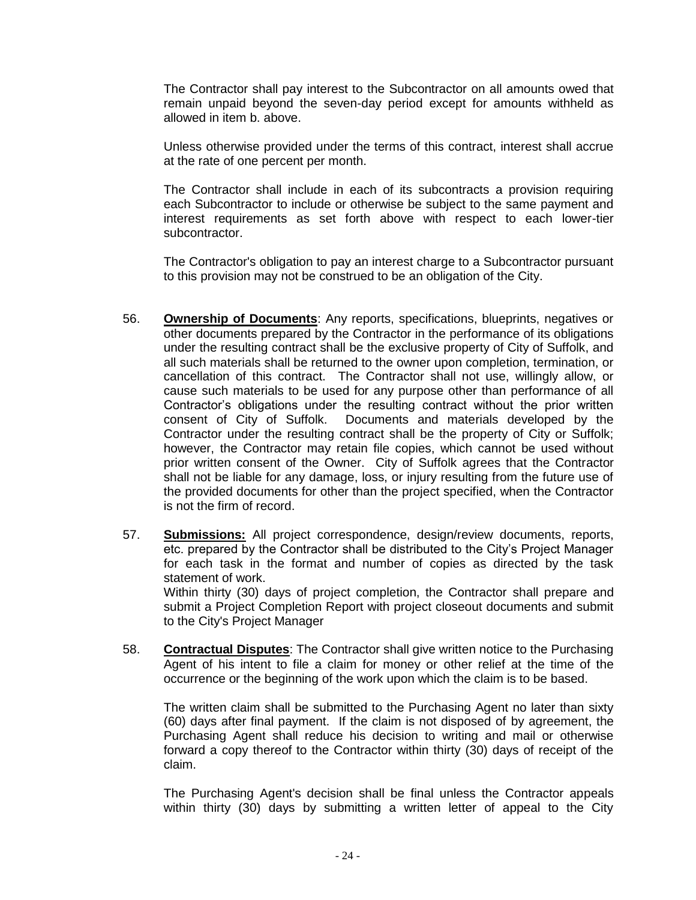The Contractor shall pay interest to the Subcontractor on all amounts owed that remain unpaid beyond the seven-day period except for amounts withheld as allowed in item b. above.

Unless otherwise provided under the terms of this contract, interest shall accrue at the rate of one percent per month.

The Contractor shall include in each of its subcontracts a provision requiring each Subcontractor to include or otherwise be subject to the same payment and interest requirements as set forth above with respect to each lower-tier subcontractor.

The Contractor's obligation to pay an interest charge to a Subcontractor pursuant to this provision may not be construed to be an obligation of the City.

- 56. **Ownership of Documents**: Any reports, specifications, blueprints, negatives or other documents prepared by the Contractor in the performance of its obligations under the resulting contract shall be the exclusive property of City of Suffolk, and all such materials shall be returned to the owner upon completion, termination, or cancellation of this contract. The Contractor shall not use, willingly allow, or cause such materials to be used for any purpose other than performance of all Contractor's obligations under the resulting contract without the prior written consent of City of Suffolk. Documents and materials developed by the Contractor under the resulting contract shall be the property of City or Suffolk; however, the Contractor may retain file copies, which cannot be used without prior written consent of the Owner. City of Suffolk agrees that the Contractor shall not be liable for any damage, loss, or injury resulting from the future use of the provided documents for other than the project specified, when the Contractor is not the firm of record.
- 57. **Submissions:** All project correspondence, design/review documents, reports, etc. prepared by the Contractor shall be distributed to the City's Project Manager for each task in the format and number of copies as directed by the task statement of work. Within thirty (30) days of project completion, the Contractor shall prepare and submit a Project Completion Report with project closeout documents and submit to the City's Project Manager
- 58. **Contractual Disputes**: The Contractor shall give written notice to the Purchasing Agent of his intent to file a claim for money or other relief at the time of the occurrence or the beginning of the work upon which the claim is to be based.

The written claim shall be submitted to the Purchasing Agent no later than sixty (60) days after final payment. If the claim is not disposed of by agreement, the Purchasing Agent shall reduce his decision to writing and mail or otherwise forward a copy thereof to the Contractor within thirty (30) days of receipt of the claim.

The Purchasing Agent's decision shall be final unless the Contractor appeals within thirty (30) days by submitting a written letter of appeal to the City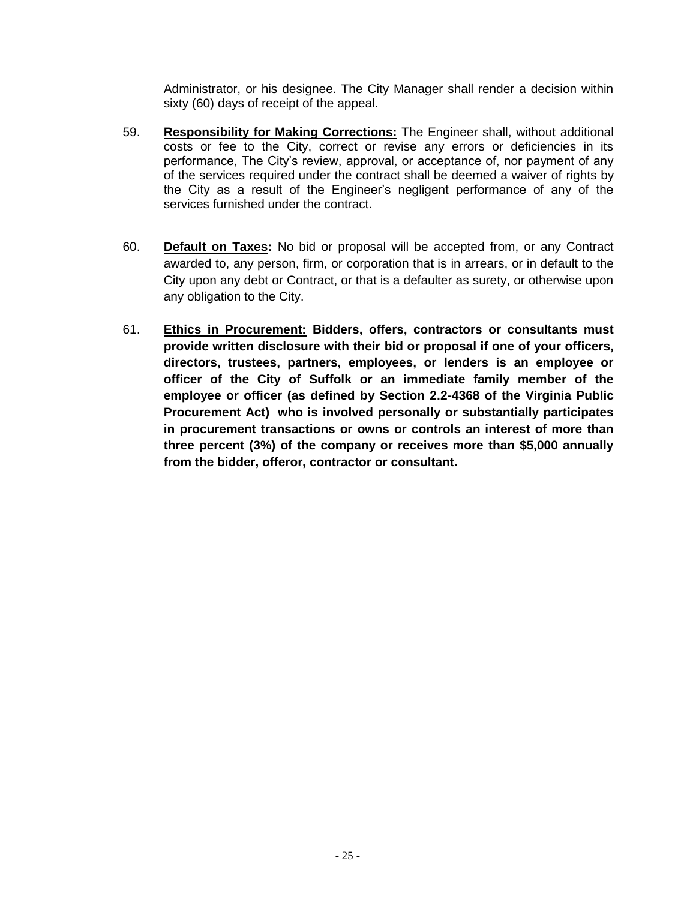Administrator, or his designee. The City Manager shall render a decision within sixty (60) days of receipt of the appeal.

- 59. **Responsibility for Making Corrections:** The Engineer shall, without additional costs or fee to the City, correct or revise any errors or deficiencies in its performance, The City's review, approval, or acceptance of, nor payment of any of the services required under the contract shall be deemed a waiver of rights by the City as a result of the Engineer's negligent performance of any of the services furnished under the contract.
- 60. **Default on Taxes:** No bid or proposal will be accepted from, or any Contract awarded to, any person, firm, or corporation that is in arrears, or in default to the City upon any debt or Contract, or that is a defaulter as surety, or otherwise upon any obligation to the City.
- 61. **Ethics in Procurement: Bidders, offers, contractors or consultants must provide written disclosure with their bid or proposal if one of your officers, directors, trustees, partners, employees, or lenders is an employee or officer of the City of Suffolk or an immediate family member of the employee or officer (as defined by Section 2.2-4368 of the Virginia Public Procurement Act) who is involved personally or substantially participates in procurement transactions or owns or controls an interest of more than three percent (3%) of the company or receives more than \$5,000 annually from the bidder, offeror, contractor or consultant.**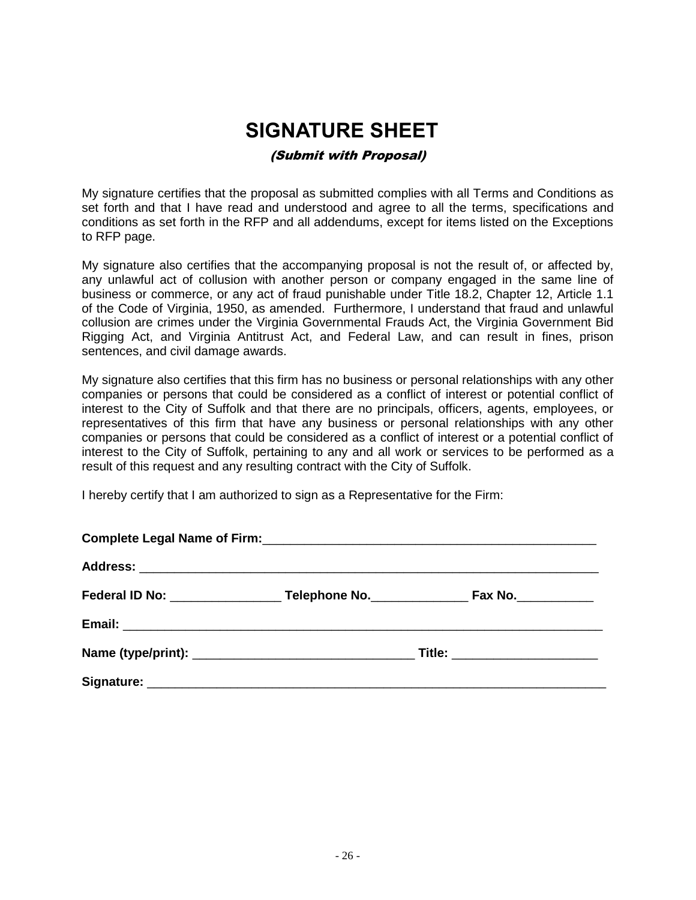# **SIGNATURE SHEET** (Submit with Proposal)

<span id="page-25-0"></span>My signature certifies that the proposal as submitted complies with all Terms and Conditions as set forth and that I have read and understood and agree to all the terms, specifications and conditions as set forth in the RFP and all addendums, except for items listed on the Exceptions to RFP page.

My signature also certifies that the accompanying proposal is not the result of, or affected by, any unlawful act of collusion with another person or company engaged in the same line of business or commerce, or any act of fraud punishable under Title 18.2, Chapter 12, Article 1.1 of the Code of Virginia, 1950, as amended. Furthermore, I understand that fraud and unlawful collusion are crimes under the Virginia Governmental Frauds Act, the Virginia Government Bid Rigging Act, and Virginia Antitrust Act, and Federal Law, and can result in fines, prison sentences, and civil damage awards.

My signature also certifies that this firm has no business or personal relationships with any other companies or persons that could be considered as a conflict of interest or potential conflict of interest to the City of Suffolk and that there are no principals, officers, agents, employees, or representatives of this firm that have any business or personal relationships with any other companies or persons that could be considered as a conflict of interest or a potential conflict of interest to the City of Suffolk, pertaining to any and all work or services to be performed as a result of this request and any resulting contract with the City of Suffolk.

I hereby certify that I am authorized to sign as a Representative for the Firm: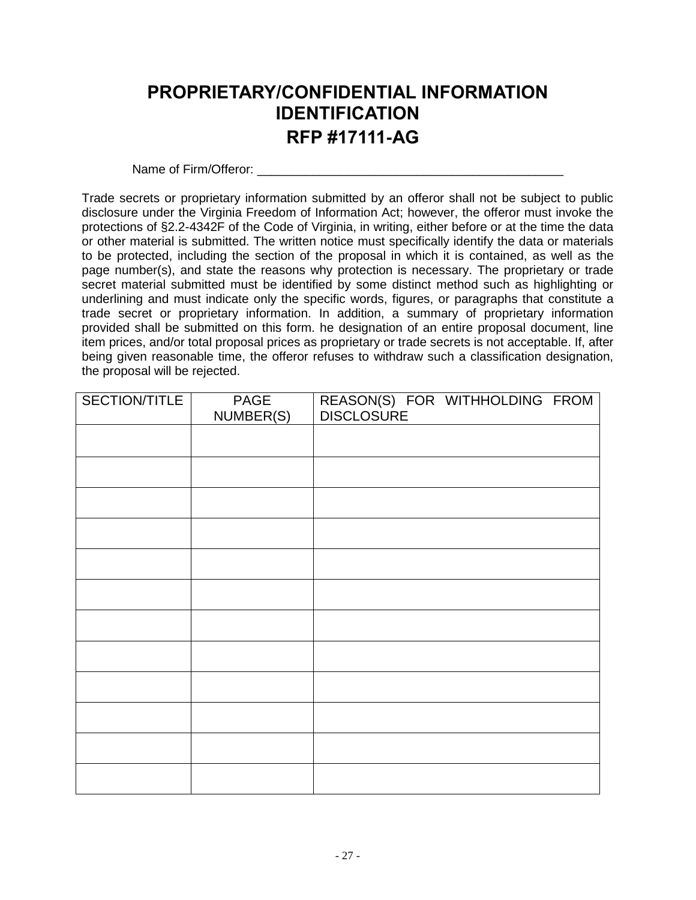# <span id="page-26-0"></span>**PROPRIETARY/CONFIDENTIAL INFORMATION IDENTIFICATION RFP #17111-AG**

Name of Firm/Offeror:

Trade secrets or proprietary information submitted by an offeror shall not be subject to public disclosure under the Virginia Freedom of Information Act; however, the offeror must invoke the protections of §2.2-4342F of the Code of Virginia, in writing, either before or at the time the data or other material is submitted. The written notice must specifically identify the data or materials to be protected, including the section of the proposal in which it is contained, as well as the page number(s), and state the reasons why protection is necessary. The proprietary or trade secret material submitted must be identified by some distinct method such as highlighting or underlining and must indicate only the specific words, figures, or paragraphs that constitute a trade secret or proprietary information. In addition, a summary of proprietary information provided shall be submitted on this form. he designation of an entire proposal document, line item prices, and/or total proposal prices as proprietary or trade secrets is not acceptable. If, after being given reasonable time, the offeror refuses to withdraw such a classification designation, the proposal will be rejected.

| SECTION/TITLE | <b>PAGE</b><br>NUMBER(S) | REASON(S) FOR WITHHOLDING FROM<br>DISCLOSURE |
|---------------|--------------------------|----------------------------------------------|
|               |                          |                                              |
|               |                          |                                              |
|               |                          |                                              |
|               |                          |                                              |
|               |                          |                                              |
|               |                          |                                              |
|               |                          |                                              |
|               |                          |                                              |
|               |                          |                                              |
|               |                          |                                              |
|               |                          |                                              |
|               |                          |                                              |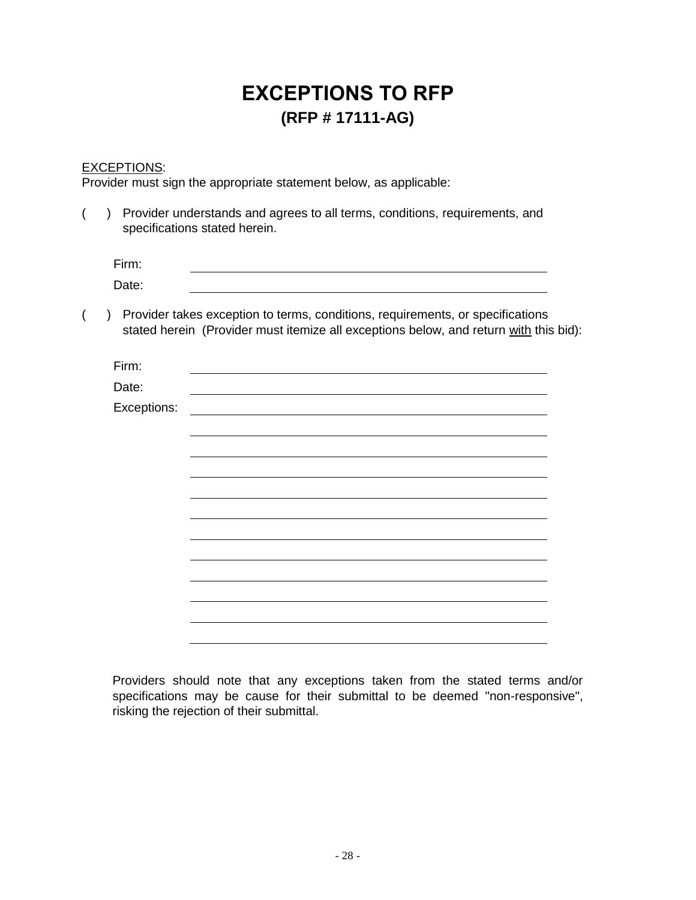# **EXCEPTIONS TO RFP (RFP # 17111-AG)**

### <span id="page-27-0"></span>EXCEPTIONS:

Provider must sign the appropriate statement below, as applicable:

|             | Provider understands and agrees to all terms, conditions, requirements, and<br>specifications stated herein.                                                            |
|-------------|-------------------------------------------------------------------------------------------------------------------------------------------------------------------------|
| Firm:       |                                                                                                                                                                         |
| Date:       |                                                                                                                                                                         |
| $\lambda$   | Provider takes exception to terms, conditions, requirements, or specifications<br>stated herein (Provider must itemize all exceptions below, and return with this bid): |
| Firm:       |                                                                                                                                                                         |
| Date:       |                                                                                                                                                                         |
| Exceptions: |                                                                                                                                                                         |
|             |                                                                                                                                                                         |
|             |                                                                                                                                                                         |
|             |                                                                                                                                                                         |
|             |                                                                                                                                                                         |
|             |                                                                                                                                                                         |
|             |                                                                                                                                                                         |
|             |                                                                                                                                                                         |
|             |                                                                                                                                                                         |
|             |                                                                                                                                                                         |

Providers should note that any exceptions taken from the stated terms and/or specifications may be cause for their submittal to be deemed "non-responsive", risking the rejection of their submittal.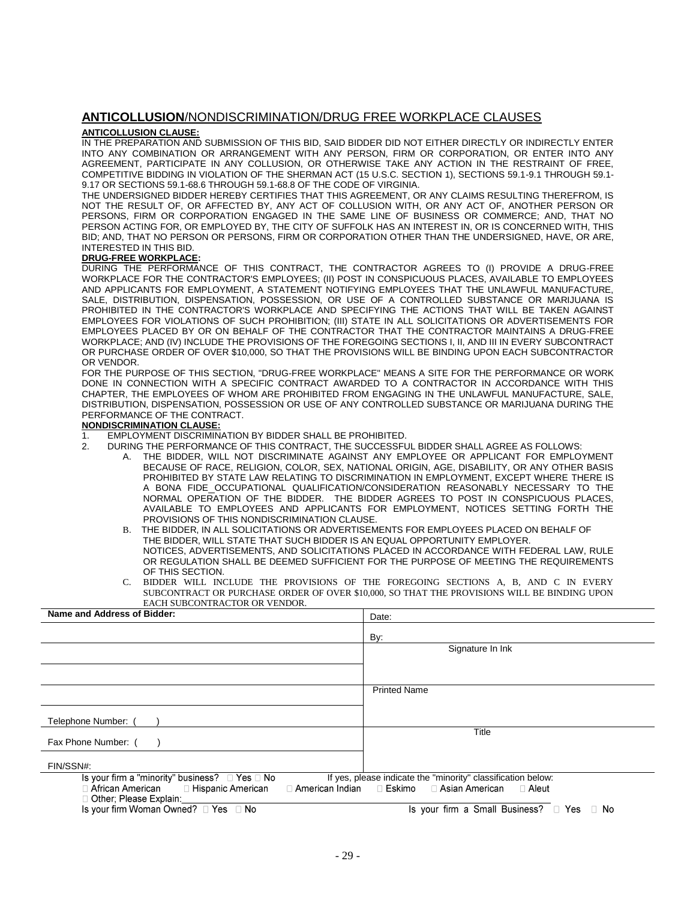#### <span id="page-28-0"></span>**ANTICOLLUSION**/NONDISCRIMINATION/DRUG FREE WORKPLACE CLAUSES

#### **ANTICOLLUSION CLAUSE:**

IN THE PREPARATION AND SUBMISSION OF THIS BID, SAID BIDDER DID NOT EITHER DIRECTLY OR INDIRECTLY ENTER INTO ANY COMBINATION OR ARRANGEMENT WITH ANY PERSON, FIRM OR CORPORATION, OR ENTER INTO ANY AGREEMENT, PARTICIPATE IN ANY COLLUSION, OR OTHERWISE TAKE ANY ACTION IN THE RESTRAINT OF FREE, COMPETITIVE BIDDING IN VIOLATION OF THE SHERMAN ACT (15 U.S.C. SECTION 1), SECTIONS 59.1-9.1 THROUGH 59.1- 9.17 OR SECTIONS 59.1-68.6 THROUGH 59.1-68.8 OF THE CODE OF VIRGINIA.

THE UNDERSIGNED BIDDER HEREBY CERTIFIES THAT THIS AGREEMENT, OR ANY CLAIMS RESULTING THEREFROM, IS NOT THE RESULT OF, OR AFFECTED BY, ANY ACT OF COLLUSION WITH, OR ANY ACT OF, ANOTHER PERSON OR PERSONS, FIRM OR CORPORATION ENGAGED IN THE SAME LINE OF BUSINESS OR COMMERCE; AND, THAT NO PERSON ACTING FOR, OR EMPLOYED BY, THE CITY OF SUFFOLK HAS AN INTEREST IN, OR IS CONCERNED WITH, THIS BID; AND, THAT NO PERSON OR PERSONS, FIRM OR CORPORATION OTHER THAN THE UNDERSIGNED, HAVE, OR ARE, INTERESTED IN THIS BID.

#### **DRUG-FREE WORKPLACE:**

DURING THE PERFORMANCE OF THIS CONTRACT, THE CONTRACTOR AGREES TO (I) PROVIDE A DRUG-FREE WORKPLACE FOR THE CONTRACTOR'S EMPLOYEES; (II) POST IN CONSPICUOUS PLACES, AVAILABLE TO EMPLOYEES AND APPLICANTS FOR EMPLOYMENT, A STATEMENT NOTIFYING EMPLOYEES THAT THE UNLAWFUL MANUFACTURE, SALE, DISTRIBUTION, DISPENSATION, POSSESSION, OR USE OF A CONTROLLED SUBSTANCE OR MARIJUANA IS PROHIBITED IN THE CONTRACTOR'S WORKPLACE AND SPECIFYING THE ACTIONS THAT WILL BE TAKEN AGAINST EMPLOYEES FOR VIOLATIONS OF SUCH PROHIBITION; (III) STATE IN ALL SOLICITATIONS OR ADVERTISEMENTS FOR EMPLOYEES PLACED BY OR ON BEHALF OF THE CONTRACTOR THAT THE CONTRACTOR MAINTAINS A DRUG-FREE WORKPLACE; AND (IV) INCLUDE THE PROVISIONS OF THE FOREGOING SECTIONS I, II, AND III IN EVERY SUBCONTRACT OR PURCHASE ORDER OF OVER \$10,000, SO THAT THE PROVISIONS WILL BE BINDING UPON EACH SUBCONTRACTOR OR VENDOR.

FOR THE PURPOSE OF THIS SECTION, "DRUG-FREE WORKPLACE" MEANS A SITE FOR THE PERFORMANCE OR WORK DONE IN CONNECTION WITH A SPECIFIC CONTRACT AWARDED TO A CONTRACTOR IN ACCORDANCE WITH THIS CHAPTER, THE EMPLOYEES OF WHOM ARE PROHIBITED FROM ENGAGING IN THE UNLAWFUL MANUFACTURE, SALE, DISTRIBUTION, DISPENSATION, POSSESSION OR USE OF ANY CONTROLLED SUBSTANCE OR MARIJUANA DURING THE PERFORMANCE OF THE CONTRACT.

#### **NONDISCRIMINATION CLAUSE:**

- 1. EMPLOYMENT DISCRIMINATION BY BIDDER SHALL BE PROHIBITED.
- 2. DURING THE PERFORMANCE OF THIS CONTRACT, THE SUCCESSFUL BIDDER SHALL AGREE AS FOLLOWS:
	- A. THE BIDDER, WILL NOT DISCRIMINATE AGAINST ANY EMPLOYEE OR APPLICANT FOR EMPLOYMENT BECAUSE OF RACE, RELIGION, COLOR, SEX, NATIONAL ORIGIN, AGE, DISABILITY, OR ANY OTHER BASIS PROHIBITED BY STATE LAW RELATING TO DISCRIMINATION IN EMPLOYMENT, EXCEPT WHERE THERE IS A BONA FIDE OCCUPATIONAL QUALIFICATION/CONSIDERATION REASONABLY NECESSARY TO THE NORMAL OPERATION OF THE BIDDER. THE BIDDER AGREES TO POST IN CONSPICUOUS PLACES, AVAILABLE TO EMPLOYEES AND APPLICANTS FOR EMPLOYMENT, NOTICES SETTING FORTH THE PROVISIONS OF THIS NONDISCRIMINATION CLAUSE.
	- B. THE BIDDER, IN ALL SOLICITATIONS OR ADVERTISEMENTS FOR EMPLOYEES PLACED ON BEHALF OF THE BIDDER, WILL STATE THAT SUCH BIDDER IS AN EQUAL OPPORTUNITY EMPLOYER. NOTICES, ADVERTISEMENTS, AND SOLICITATIONS PLACED IN ACCORDANCE WITH FEDERAL LAW, RULE OR REGULATION SHALL BE DEEMED SUFFICIENT FOR THE PURPOSE OF MEETING THE REQUIREMENTS OF THIS SECTION.
	- BIDDER WILL INCLUDE THE PROVISIONS OF THE FOREGOING SECTIONS A, B, AND C IN EVERY SUBCONTRACT OR PURCHASE ORDER OF OVER \$10,000, SO THAT THE PROVISIONS WILL BE BINDING UPON EACH SUBCONTRACTOR OR VENDOR.

| Name and Address of Bidder:                              | Date:                                                        |  |
|----------------------------------------------------------|--------------------------------------------------------------|--|
|                                                          | By:                                                          |  |
|                                                          | Signature In Ink                                             |  |
|                                                          |                                                              |  |
|                                                          |                                                              |  |
|                                                          | <b>Printed Name</b>                                          |  |
|                                                          |                                                              |  |
| Telephone Number: (                                      |                                                              |  |
| Fax Phone Number: (                                      | Title                                                        |  |
| FIN/SSN#:                                                |                                                              |  |
| Is your firm a "minority" business? $\Box$ Yes $\Box$ No | If yes, please indicate the "minority" classification below: |  |
| $\Box$ African American $\Box$ Hispanic American         | □ American Indian □ Eskimo □ Asian American<br>⊟ Aleut       |  |
| □ Other; Please Explain:                                 |                                                              |  |
| Is your firm Woman Owned? $\Box$ Yes $\Box$ No           | Is your firm a Small Business? □ Yes □ No                    |  |